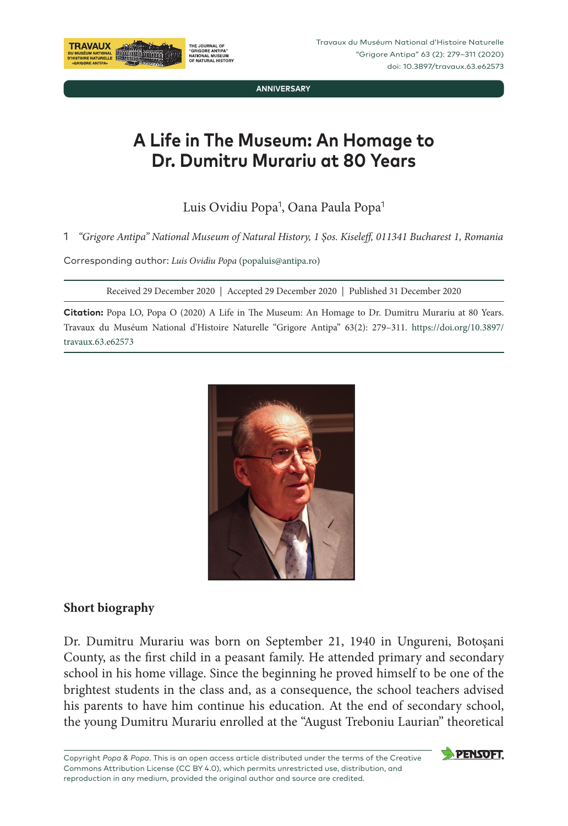

**ANNIVERSARY**

# **A Life in The Museum: An Homage to Dr. Dumitru Murariu at 80 Years**

Luis Ovidiu Popa<sup>1</sup>, Oana Paula Popa<sup>1</sup>

1 *"Grigore Antipa" National Museum of Natural History, 1 Şos. Kiseleff, 011341 Bucharest 1, Romania*

Corresponding author: *Luis Ovidiu Popa* (popaluis@antipa.ro)

Received 29 December 2020 | Accepted 29 December 2020 | Published 31 December 2020

**Citation:** Popa LO, Popa O (2020) A Life in The Museum: An Homage to Dr. Dumitru Murariu at 80 Years. Travaux du Muséum National d'Histoire Naturelle "Grigore Antipa" 63(2): 279–311. [https://doi.org/10.3897/](https://doi.org/10.3897/travaux.63.e55052) [travaux.63.e](https://doi.org/10.3897/travaux.63.e55052)62573



# **Short biography**

Dr. Dumitru Murariu was born on September 21, 1940 in Ungureni, Botoşani County, as the first child in a peasant family. He attended primary and secondary school in his home village. Since the beginning he proved himself to be one of the brightest students in the class and, as a consequence, the school teachers advised his parents to have him continue his education. At the end of secondary school, the young Dumitru Murariu enrolled at the "August Treboniu Laurian" theoretical

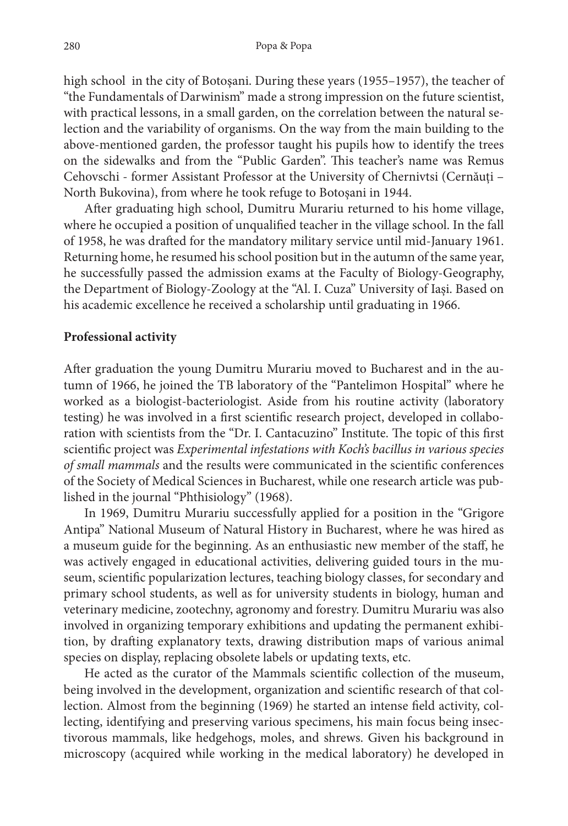high school in the city of Botoşani. During these years (1955–1957), the teacher of "the Fundamentals of Darwinism" made a strong impression on the future scientist, with practical lessons, in a small garden, on the correlation between the natural selection and the variability of organisms. On the way from the main building to the above‑mentioned garden, the professor taught his pupils how to identify the trees on the sidewalks and from the "Public Garden". This teacher's name was Remus Cehovschi - former Assistant Professor at the University of Chernivtsi (Cernăuți – North Bukovina), from where he took refuge to Botoșani in 1944.

After graduating high school, Dumitru Murariu returned to his home village, where he occupied a position of unqualified teacher in the village school. In the fall of 1958, he was drafted for the mandatory military service until mid-January 1961. Returning home, he resumed his school position but in the autumn of the same year, he successfully passed the admission exams at the Faculty of Biology-Geography, the Department of Biology-Zoology at the "Al. I. Cuza" University of Iași. Based on his academic excellence he received a scholarship until graduating in 1966.

#### **Professional activity**

After graduation the young Dumitru Murariu moved to Bucharest and in the autumn of 1966, he joined the TB laboratory of the "Pantelimon Hospital" where he worked as a biologist-bacteriologist. Aside from his routine activity (laboratory testing) he was involved in a first scientific research project, developed in collaboration with scientists from the "Dr. I. Cantacuzino" Institute. The topic of this first scientific project was *Experimental infestations with Koch's bacillus in various species of small mammals* and the results were communicated in the scientific conferences of the Society of Medical Sciences in Bucharest, while one research article was pub‑ lished in the journal "Phthisiology" (1968).

In 1969, Dumitru Murariu successfully applied for a position in the "Grigore Antipa" National Museum of Natural History in Bucharest, where he was hired as a museum guide for the beginning. As an enthusiastic new member of the staff, he was actively engaged in educational activities, delivering guided tours in the museum, scientific popularization lectures, teaching biology classes, for secondary and primary school students, as well as for university students in biology, human and veterinary medicine, zootechny, agronomy and forestry. Dumitru Murariu was also involved in organizing temporary exhibitions and updating the permanent exhibition, by drafting explanatory texts, drawing distribution maps of various animal species on display, replacing obsolete labels or updating texts, etc.

He acted as the curator of the Mammals scientific collection of the museum, being involved in the development, organization and scientific research of that collection. Almost from the beginning (1969) he started an intense field activity, collecting, identifying and preserving various specimens, his main focus being insectivorous mammals, like hedgehogs, moles, and shrews. Given his background in microscopy (acquired while working in the medical laboratory) he developed in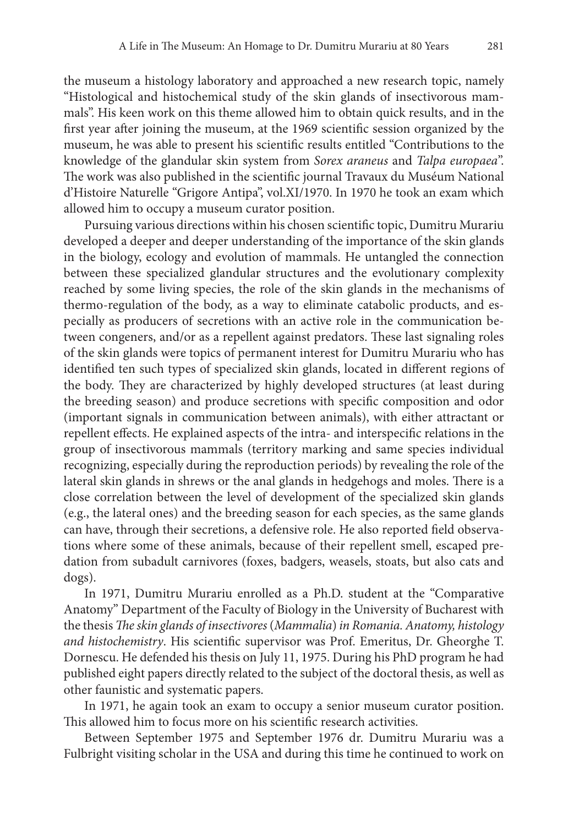the museum a histology laboratory and approached a new research topic, namely "Histological and histochemical study of the skin glands of insectivorous mam‑ mals". His keen work on this theme allowed him to obtain quick results, and in the first year after joining the museum, at the 1969 scientific session organized by the museum, he was able to present his scientific results entitled "Contributions to the knowledge of the glandular skin system from *Sorex araneus* and *Talpa europaea*". The work was also published in the scientific journal Travaux du Muséum National d'Histoire Naturelle "Grigore Antipa", vol.XI/1970. In 1970 he took an exam which allowed him to occupy a museum curator position.

Pursuing various directions within his chosen scientific topic, Dumitru Murariu developed a deeper and deeper understanding of the importance of the skin glands in the biology, ecology and evolution of mammals. He untangled the connection between these specialized glandular structures and the evolutionary complexity reached by some living species, the role of the skin glands in the mechanisms of thermo-regulation of the body, as a way to eliminate catabolic products, and especially as producers of secretions with an active role in the communication between congeners, and/or as a repellent against predators. These last signaling roles of the skin glands were topics of permanent interest for Dumitru Murariu who has identified ten such types of specialized skin glands, located in different regions of the body. They are characterized by highly developed structures (at least during the breeding season) and produce secretions with specific composition and odor (important signals in communication between animals), with either attractant or repellent effects. He explained aspects of the intra- and interspecific relations in the group of insectivorous mammals (territory marking and same species individual recognizing, especially during the reproduction periods) by revealing the role of the lateral skin glands in shrews or the anal glands in hedgehogs and moles. There is a close correlation between the level of development of the specialized skin glands (e.g., the lateral ones) and the breeding season for each species, as the same glands can have, through their secretions, a defensive role. He also reported field observations where some of these animals, because of their repellent smell, escaped predation from subadult carnivores (foxes, badgers, weasels, stoats, but also cats and dogs).

In 1971, Dumitru Murariu enrolled as a Ph.D. student at the "Comparative Anatomy" Department of the Faculty of Biology in the University of Bucharest with the thesis *The skin glands of insectivores* (*Mammalia*) *in Romania. Anatomy, histology and histochemistry*. His scientific supervisor was Prof. Emeritus, Dr. Gheorghe T. Dornescu. He defended his thesis on July 11, 1975. During his PhD program he had published eight papers directly related to the subject of the doctoral thesis, as well as other faunistic and systematic papers.

In 1971, he again took an exam to occupy a senior museum curator position. This allowed him to focus more on his scientific research activities.

Between September 1975 and September 1976 dr. Dumitru Murariu was a Fulbright visiting scholar in the USA and during this time he continued to work on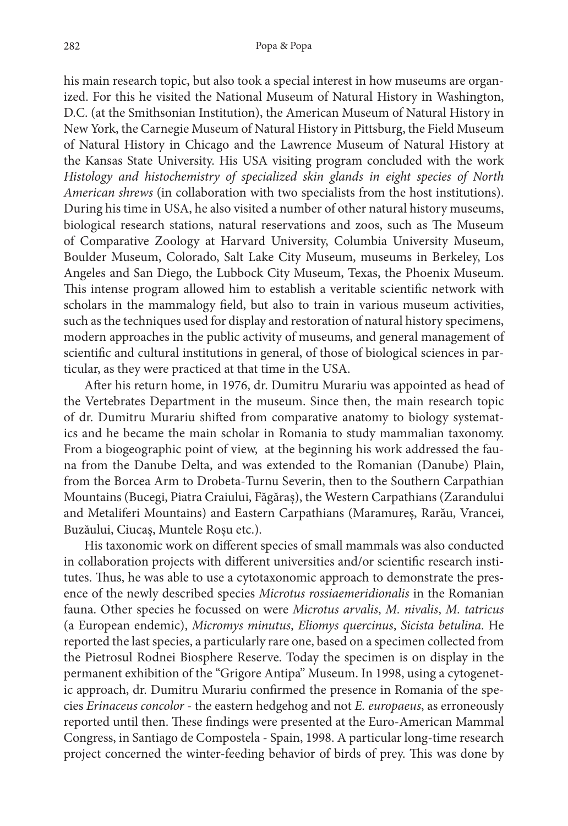his main research topic, but also took a special interest in how museums are organized. For this he visited the National Museum of Natural History in Washington, D.C. (at the Smithsonian Institution), the American Museum of Natural History in New York, the Carnegie Museum of Natural History in Pittsburg, the Field Museum of Natural History in Chicago and the Lawrence Museum of Natural History at the Kansas State University. His USA visiting program concluded with the work *Histology and histochemistry of specialized skin glands in eight species of North American shrews* (in collaboration with two specialists from the host institutions). During his time in USA, he also visited a number of other natural history museums, biological research stations, natural reservations and zoos, such as The Museum of Comparative Zoology at Harvard University, Columbia University Museum, Boulder Museum, Colorado, Salt Lake City Museum, museums in Berkeley, Los Angeles and San Diego, the Lubbock City Museum, Texas, the Phoenix Museum. This intense program allowed him to establish a veritable scientific network with scholars in the mammalogy field, but also to train in various museum activities, such as the techniques used for display and restoration of natural history specimens, modern approaches in the public activity of museums, and general management of scientific and cultural institutions in general, of those of biological sciences in particular, as they were practiced at that time in the USA.

After his return home, in 1976, dr. Dumitru Murariu was appointed as head of the Vertebrates Department in the museum. Since then, the main research topic of dr. Dumitru Murariu shifted from comparative anatomy to biology systemat‑ ics and he became the main scholar in Romania to study mammalian taxonomy. From a biogeographic point of view, at the beginning his work addressed the fauna from the Danube Delta, and was extended to the Romanian (Danube) Plain, from the Borcea Arm to Drobeta-Turnu Severin, then to the Southern Carpathian Mountains (Bucegi, Piatra Craiului, Făgăraș), the Western Carpathians (Zarandului and Metaliferi Mountains) and Eastern Carpathians (Maramureș, Rarău, Vrancei, Buzăului, Ciucaș, Muntele Roșu etc.).

His taxonomic work on different species of small mammals was also conducted in collaboration projects with different universities and/or scientific research institutes. Thus, he was able to use a cytotaxonomic approach to demonstrate the pres‑ ence of the newly described species *Microtus rossiaemeridionalis* in the Romanian fauna. Other species he focussed on were *Microtus arvalis*, *M. nivalis*, *M. tatricus* (a European endemic), *Micromys minutus*, *Eliomys quercinus*, *Sicista betulina*. He reported the last species, a particularly rare one, based on a specimen collected from the Pietrosul Rodnei Biosphere Reserve. Today the specimen is on display in the permanent exhibition of the "Grigore Antipa" Museum. In 1998, using a cytogenetic approach, dr. Dumitru Murariu confirmed the presence in Romania of the species *Erinaceus concolor* - the eastern hedgehog and not *E. europaeus*, as erroneously reported until then. These findings were presented at the Euro-American Mammal Congress, in Santiago de Compostela - Spain, 1998. A particular long-time research project concerned the winter-feeding behavior of birds of prey. This was done by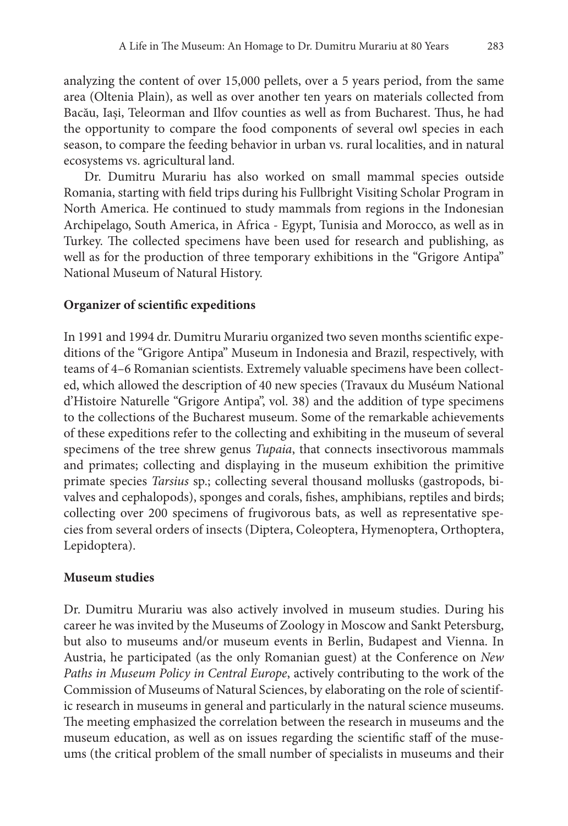analyzing the content of over 15,000 pellets, over a 5 years period, from the same area (Oltenia Plain), as well as over another ten years on materials collected from Bacău, Iași, Teleorman and Ilfov counties as well as from Bucharest. Thus, he had the opportunity to compare the food components of several owl species in each season, to compare the feeding behavior in urban vs. rural localities, and in natural ecosystems vs. agricultural land.

Dr. Dumitru Murariu has also worked on small mammal species outside Romania, starting with field trips during his Fullbright Visiting Scholar Program in North America. He continued to study mammals from regions in the Indonesian Archipelago, South America, in Africa - Egypt, Tunisia and Morocco, as well as in Turkey. The collected specimens have been used for research and publishing, as well as for the production of three temporary exhibitions in the "Grigore Antipa" National Museum of Natural History.

## **Organizer of scientific expeditions**

In 1991 and 1994 dr. Dumitru Murariu organized two seven months scientific expeditions of the "Grigore Antipa" Museum in Indonesia and Brazil, respectively, with teams of 4-6 Romanian scientists. Extremely valuable specimens have been collected, which allowed the description of 40 new species (Travaux du Muséum National d'Histoire Naturelle "Grigore Antipa", vol. 38) and the addition of type specimens to the collections of the Bucharest museum. Some of the remarkable achievements of these expeditions refer to the collecting and exhibiting in the museum of several specimens of the tree shrew genus *Tupaia*, that connects insectivorous mammals and primates; collecting and displaying in the museum exhibition the primitive primate species *Tarsius* sp.; collecting several thousand mollusks (gastropods, bivalves and cephalopods), sponges and corals, fishes, amphibians, reptiles and birds; collecting over 200 specimens of frugivorous bats, as well as representative species from several orders of insects (Diptera, Coleoptera, Hymenoptera, Orthoptera, Lepidoptera).

## **Museum studies**

Dr. Dumitru Murariu was also actively involved in museum studies. During his career he was invited by the Museums of Zoology in Moscow and Sankt Petersburg, but also to museums and/or museum events in Berlin, Budapest and Vienna. In Austria, he participated (as the only Romanian guest) at the Conference on *New Paths in Museum Policy in Central Europe*, actively contributing to the work of the Commission of Museums of Natural Sciences, by elaborating on the role of scientific research in museums in general and particularly in the natural science museums. The meeting emphasized the correlation between the research in museums and the museum education, as well as on issues regarding the scientific staff of the museums (the critical problem of the small number of specialists in museums and their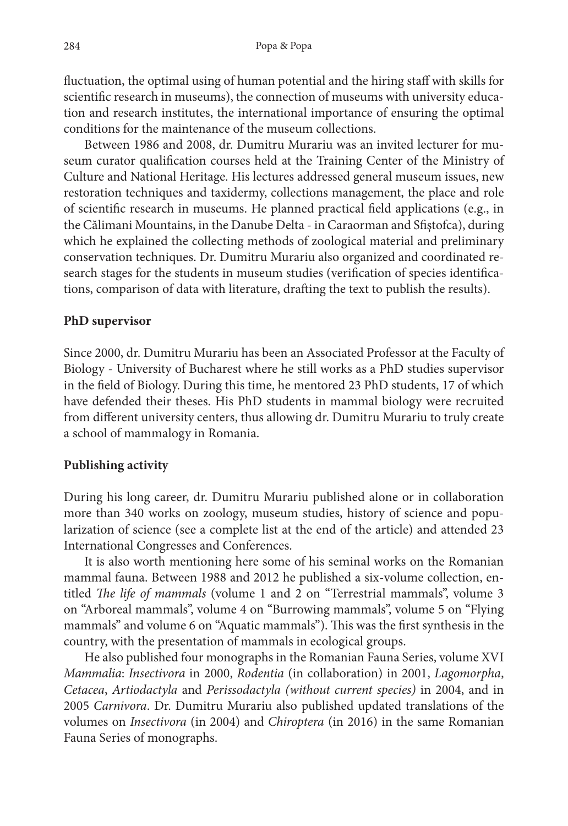fluctuation, the optimal using of human potential and the hiring staff with skills for scientific research in museums), the connection of museums with university education and research institutes, the international importance of ensuring the optimal conditions for the maintenance of the museum collections.

Between 1986 and 2008, dr. Dumitru Murariu was an invited lecturer for museum curator qualification courses held at the Training Center of the Ministry of Culture and National Heritage. His lectures addressed general museum issues, new restoration techniques and taxidermy, collections management, the place and role of scientific research in museums. He planned practical field applications (e.g., in the Călimani Mountains, in the Danube Delta - in Caraorman and Sfiştofca), during which he explained the collecting methods of zoological material and preliminary conservation techniques. Dr. Dumitru Murariu also organized and coordinated re‑ search stages for the students in museum studies (verification of species identifications, comparison of data with literature, drafting the text to publish the results).

## **PhD supervisor**

Since 2000, dr. Dumitru Murariu has been an Associated Professor at the Faculty of Biology - University of Bucharest where he still works as a PhD studies supervisor in the field of Biology. During this time, he mentored 23 PhD students, 17 of which have defended their theses. His PhD students in mammal biology were recruited from different university centers, thus allowing dr. Dumitru Murariu to truly create a school of mammalogy in Romania.

#### **Publishing activity**

During his long career, dr. Dumitru Murariu published alone or in collaboration more than 340 works on zoology, museum studies, history of science and popularization of science (see a complete list at the end of the article) and attended 23 International Congresses and Conferences.

It is also worth mentioning here some of his seminal works on the Romanian mammal fauna. Between 1988 and 2012 he published a six-volume collection, entitled *The life of mammals* (volume 1 and 2 on "Terrestrial mammals", volume 3 on "Arboreal mammals", volume 4 on "Burrowing mammals", volume 5 on "Flying mammals" and volume 6 on "Aquatic mammals"). This was the first synthesis in the country, with the presentation of mammals in ecological groups.

He also published four monographs in the Romanian Fauna Series, volume XVI *Mammalia*: *Insectivora* in 2000, *Rodentia* (in collaboration) in 2001, *Lagomorpha*, *Cetacea*, *Artiodactyla* and *Perissodactyla (without current species)* in 2004, and in 2005 *Carnivora*. Dr. Dumitru Murariu also published updated translations of the volumes on *Insectivora* (in 2004) and *Chiroptera* (in 2016) in the same Romanian Fauna Series of monographs.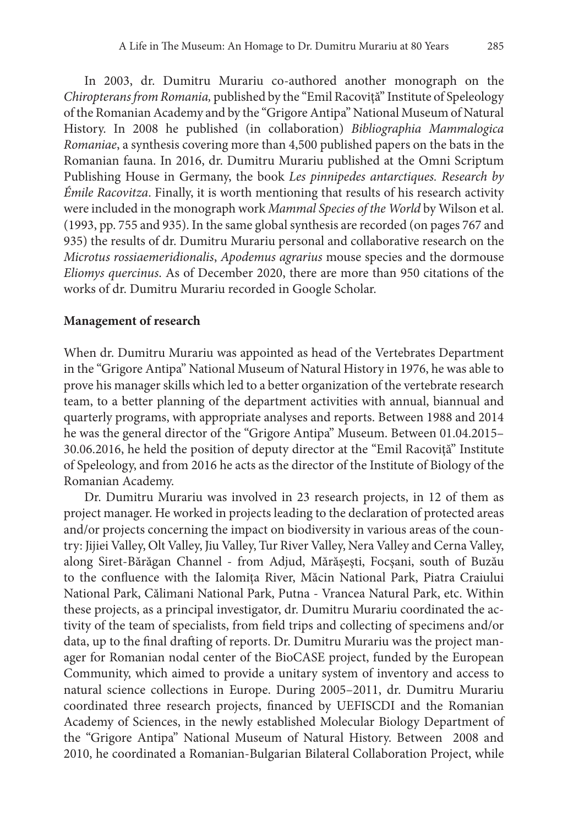In 2003, dr. Dumitru Murariu co-authored another monograph on the *Chiropterans from Romania,* published by the "Emil Racoviţă" Institute of Speleology of the Romanian Academy and by the "Grigore Antipa" National Museum of Natural History. In 2008 he published (in collaboration) *Bibliographia Mammalogica Romaniae*, a synthesis covering more than 4,500 published papers on the bats in the Romanian fauna. In 2016, dr. Dumitru Murariu published at the Omni Scriptum Publishing House in Germany, the book *Les pinnipedes antarctiques. Research by Émile Racovitza*. Finally, it is worth mentioning that results of his research activity were included in the monograph work *Mammal Species of the World* by Wilson et al. (1993, pp. 755 and 935). In the same global synthesis are recorded (on pages 767 and 935) the results of dr. Dumitru Murariu personal and collaborative research on the *Microtus rossiaemeridionalis*, *Apodemus agrarius* mouse species and the dormouse *Eliomys quercinus*. As of December 2020, there are more than 950 citations of the works of dr. Dumitru Murariu recorded in Google Scholar.

#### **Management of research**

When dr. Dumitru Murariu was appointed as head of the Vertebrates Department in the "Grigore Antipa'' National Museum of Natural History in 1976, he was able to prove his manager skills which led to a better organization of the vertebrate research team, to a better planning of the department activities with annual, biannual and quarterly programs, with appropriate analyses and reports. Between 1988 and 2014 he was the general director of the "Grigore Antipa" Museum. Between 01.04.2015– 30.06.2016, he held the position of deputy director at the "Emil Racoviţă" Institute of Speleology, and from 2016 he acts as the director of the Institute of Biology of the Romanian Academy.

Dr. Dumitru Murariu was involved in 23 research projects, in 12 of them as project manager. He worked in projects leading to the declaration of protected areas and/or projects concerning the impact on biodiversity in various areas of the country: Jijiei Valley, Olt Valley, Jiu Valley, Tur River Valley, Nera Valley and Cerna Valley, along Siret-Bărăgan Channel - from Adjud, Mărăşeşti, Focşani, south of Buzău to the confluence with the Ialomiţa River, Măcin National Park, Piatra Craiului National Park, Călimani National Park, Putna - Vrancea Natural Park, etc. Within these projects, as a principal investigator, dr. Dumitru Murariu coordinated the ac‑ tivity of the team of specialists, from field trips and collecting of specimens and/or data, up to the final drafting of reports. Dr. Dumitru Murariu was the project manager for Romanian nodal center of the BioCASE project, funded by the European Community, which aimed to provide a unitary system of inventory and access to natural science collections in Europe. During 2005–2011, dr. Dumitru Murariu coordinated three research projects, financed by UEFISCDI and the Romanian Academy of Sciences, in the newly established Molecular Biology Department of the "Grigore Antipa" National Museum of Natural History. Between 2008 and 2010, he coordinated a Romanian-Bulgarian Bilateral Collaboration Project, while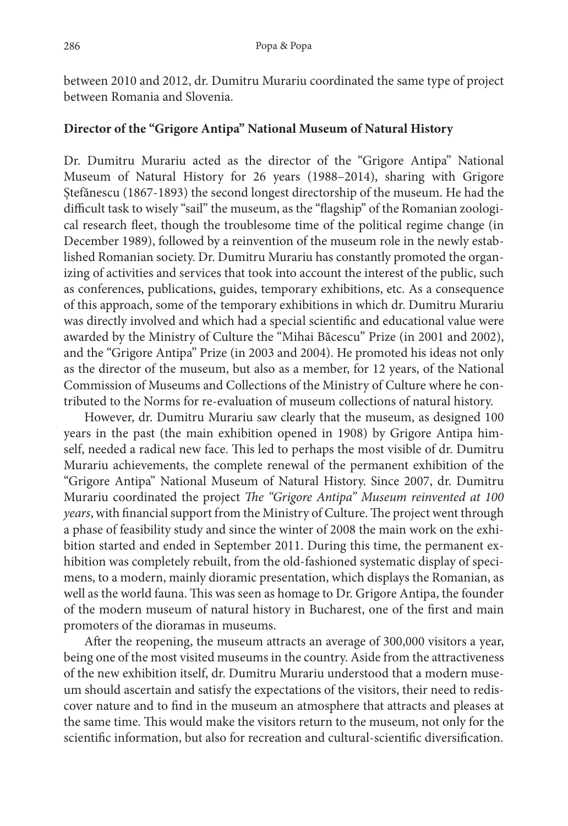between 2010 and 2012, dr. Dumitru Murariu coordinated the same type of project between Romania and Slovenia.

## **Director of the "Grigore Antipa" National Museum of Natural History**

Dr. Dumitru Murariu acted as the director of the "Grigore Antipa" National Museum of Natural History for 26 years (1988–2014), sharing with Grigore Ștefănescu (1867‑1893) the second longest directorship of the museum. He had the difficult task to wisely "sail" the museum, as the "flagship" of the Romanian zoological research fleet, though the troublesome time of the political regime change (in December 1989), followed by a reinvention of the museum role in the newly established Romanian society. Dr. Dumitru Murariu has constantly promoted the organizing of activities and services that took into account the interest of the public, such as conferences, publications, guides, temporary exhibitions, etc. As a consequence of this approach, some of the temporary exhibitions in which dr. Dumitru Murariu was directly involved and which had a special scientific and educational value were awarded by the Ministry of Culture the "Mihai Băcescu" Prize (in 2001 and 2002), and the "Grigore Antipa" Prize (in 2003 and 2004). He promoted his ideas not only as the director of the museum, but also as a member, for 12 years, of the National Commission of Museums and Collections of the Ministry of Culture where he con‑ tributed to the Norms for re-evaluation of museum collections of natural history.

However, dr. Dumitru Murariu saw clearly that the museum, as designed 100 years in the past (the main exhibition opened in 1908) by Grigore Antipa him‑ self, needed a radical new face. This led to perhaps the most visible of dr. Dumitru Murariu achievements, the complete renewal of the permanent exhibition of the "Grigore Antipa'' National Museum of Natural History. Since 2007, dr. Dumitru Murariu coordinated the project *The "Grigore Antipa" Museum reinvented at 100 years*, with financial support from the Ministry of Culture. The project went through a phase of feasibility study and since the winter of 2008 the main work on the exhibition started and ended in September 2011. During this time, the permanent exhibition was completely rebuilt, from the old-fashioned systematic display of specimens, to a modern, mainly dioramic presentation, which displays the Romanian, as well as the world fauna. This was seen as homage to Dr. Grigore Antipa, the founder of the modern museum of natural history in Bucharest, one of the first and main promoters of the dioramas in museums.

After the reopening, the museum attracts an average of 300,000 visitors a year, being one of the most visited museums in the country. Aside from the attractiveness of the new exhibition itself, dr. Dumitru Murariu understood that a modern muse‑ um should ascertain and satisfy the expectations of the visitors, their need to redis‑ cover nature and to find in the museum an atmosphere that attracts and pleases at the same time. This would make the visitors return to the museum, not only for the scientific information, but also for recreation and cultural-scientific diversification.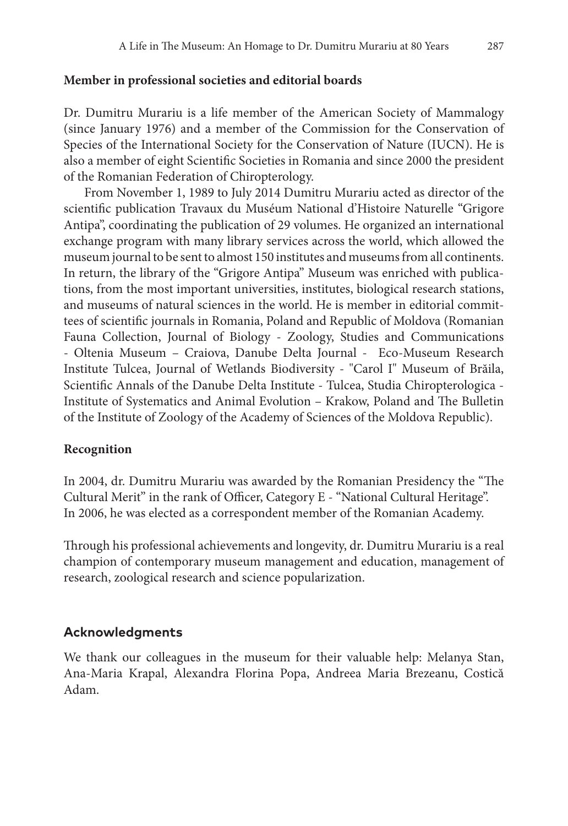# **Member in professional societies and editorial boards**

Dr. Dumitru Murariu is a life member of the American Society of Mammalogy (since January 1976) and a member of the Commission for the Conservation of Species of the International Society for the Conservation of Nature (IUCN). He is also a member of eight Scientific Societies in Romania and since 2000 the president of the Romanian Federation of Chiropterology.

From November 1, 1989 to July 2014 Dumitru Murariu acted as director of the scientific publication Travaux du Muséum National d'Histoire Naturelle "Grigore Antipa", coordinating the publication of 29 volumes. He organized an international exchange program with many library services across the world, which allowed the museum journal to be sent to almost 150 institutes and museums from all continents. In return, the library of the "Grigore Antipa" Museum was enriched with publications, from the most important universities, institutes, biological research stations, and museums of natural sciences in the world. He is member in editorial committees of scientific journals in Romania, Poland and Republic of Moldova (Romanian Fauna Collection, Journal of Biology - Zoology, Studies and Communications - Oltenia Museum - Craiova, Danube Delta Journal - Eco-Museum Research Institute Tulcea, Journal of Wetlands Biodiversity - "Carol I" Museum of Brăila, Scientific Annals of the Danube Delta Institute - Tulcea, Studia Chiropterologica -Institute of Systematics and Animal Evolution – Krakow, Poland and The Bulletin of the Institute of Zoology of the Academy of Sciences of the Moldova Republic).

# **Recognition**

In 2004, dr. Dumitru Murariu was awarded by the Romanian Presidency the "The Cultural Merit" in the rank of Officer, Category E - "National Cultural Heritage". In 2006, he was elected as a correspondent member of the Romanian Academy.

Through his professional achievements and longevity, dr. Dumitru Murariu is a real champion of contemporary museum management and education, management of research, zoological research and science popularization.

# **Acknowledgments**

We thank our colleagues in the museum for their valuable help: Melanya Stan, Ana‑Maria Krapal, Alexandra Florina Popa, Andreea Maria Brezeanu, Costică Adam.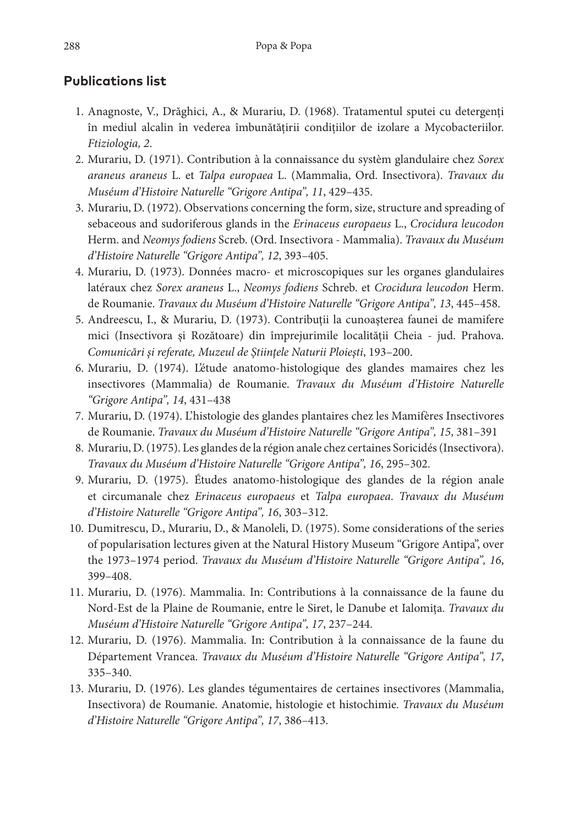# **Publications list**

- 1. Anagnoste, V., Drăghici, A., & Murariu, D. (1968). Tratamentul sputei cu detergenţi în mediul alcalin în vederea îmbunătățirii condițiilor de izolare a Mycobacteriilor. *Ftiziologia, 2*.
- 2. Murariu, D. (1971). Contribution à la connaissance du systèm glandulaire chez *Sorex araneus araneus* L. et *Talpa europaea* L. (Mammalia, Ord. Insectivora). *Travaux du Muséum d'Histoire Naturelle "Grigore Antipa", 11*, 429–435.
- 3. Murariu, D. (1972). Observations concerning the form, size, structure and spreading of sebaceous and sudoriferous glands in the *Erinaceus europaeus* L., *Crocidura leucodon*  Herm. and *Neomys fodiens* Screb. (Ord. Insectivora - Mammalia). *Travaux du Muséum d'Histoire Naturelle "Grigore Antipa", 12*, 393–405.
- 4. Murariu, D. (1973). Données macro- et microscopiques sur les organes glandulaires latéraux chez *Sorex araneus* L., *Neomys fodiens* Schreb. et *Crocidura leucodon* Herm. de Roumanie. *Travaux du Muséum d'Histoire Naturelle "Grigore Antipa", 13*, 445–458.
- 5. Andreescu, I., & Murariu, D. (1973). Contribuţii la cunoaşterea faunei de mamifere mici (Insectivora şi Rozătoare) din împrejurimile localităţii Cheia - jud. Prahova. *Comunicări şi referate, Muzeul de Ştiinţele Naturii Ploieşti*, 193–200.
- 6. Murariu, D. (1974). L'étude anatomo-histologique des glandes mamaires chez les insectivores (Mammalia) de Roumanie. *Travaux du Muséum d'Histoire Naturelle "Grigore Antipa", 14*, 431–438
- 7. Murariu, D. (1974). L'histologie des glandes plantaires chez les Mamifères Insectivores de Roumanie. *Travaux du Muséum d'Histoire Naturelle "Grigore Antipa", 15*, 381–391
- 8. Murariu, D. (1975). Les glandes de la région anale chez certaines Soricidés (Insectivora). *Travaux du Muséum d'Histoire Naturelle "Grigore Antipa", 16*, 295–302.
- 9. Murariu, D. (1975). Études anatomo-histologique des glandes de la région anale et circumanale chez *Erinaceus europaeus* et *Talpa europaea*. *Travaux du Muséum d'Histoire Naturelle "Grigore Antipa", 16*, 303–312.
- 10. Dumitrescu, D., Murariu, D., & Manoleli, D. (1975). Some considerations of the series of popularisation lectures given at the Natural History Museum "Grigore Antipa", over the 1973–1974 period. *Travaux du Muséum d'Histoire Naturelle "Grigore Antipa", 16*, 399–408.
- 11. Murariu, D. (1976). Mammalia. In: Contributions à la connaissance de la faune du Nord-Est de la Plaine de Roumanie, entre le Siret, le Danube et Ialomiţa. *Travaux du Muséum d'Histoire Naturelle "Grigore Antipa", 17*, 237–244.
- 12. Murariu, D. (1976). Mammalia. In: Contribution à la connaissance de la faune du Département Vrancea. *Travaux du Muséum d'Histoire Naturelle "Grigore Antipa", 17*, 335–340.
- 13. Murariu, D. (1976). Les glandes tégumentaires de certaines insectivores (Mammalia, Insectivora) de Roumanie. Anatomie, histologie et histochimie. *Travaux du Muséum d'Histoire Naturelle "Grigore Antipa", 17*, 386–413.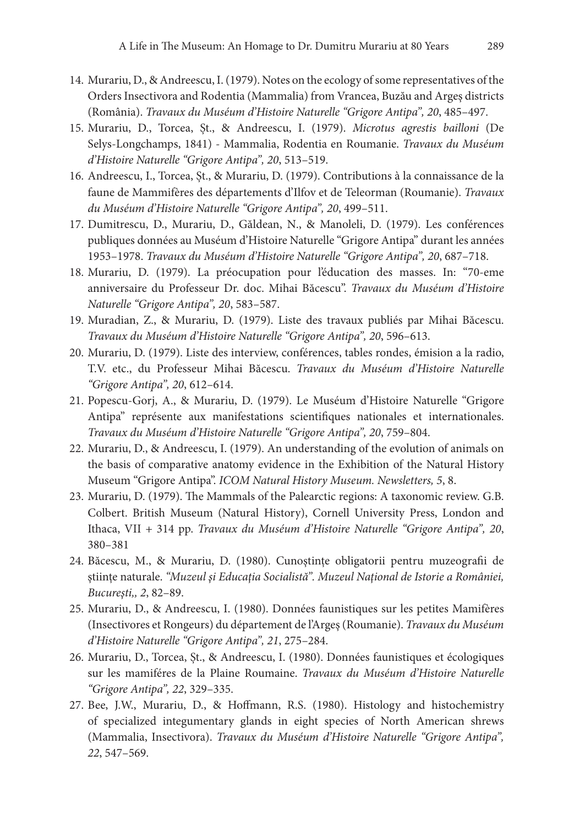- 14. Murariu, D., & Andreescu, I. (1979). Notes on the ecology of some representatives of the Orders Insectivora and Rodentia (Mammalia) from Vrancea, Buzău and Argeş districts (România). *Travaux du Muséum d'Histoire Naturelle "Grigore Antipa", 20*, 485–497.
- 15. Murariu, D., Torcea, Șt., & Andreescu, I. (1979). *Microtus agrestis bailloni* (De Selys‑Longchamps, 1841) - Mammalia, Rodentia en Roumanie. *Travaux du Muséum d'Histoire Naturelle "Grigore Antipa", 20*, 513–519.
- 16. Andreescu, I., Torcea, Șt., & Murariu, D. (1979). Contributions à la connaissance de la faune de Mammifères des départements d'Ilfov et de Teleorman (Roumanie). *Travaux du Muséum d'Histoire Naturelle "Grigore Antipa", 20*, 499–511.
- 17. Dumitrescu, D., Murariu, D., Găldean, N., & Manoleli, D. (1979). Les conférences publiques données au Muséum d'Histoire Naturelle "Grigore Antipa" durant les années 1953–1978. *Travaux du Muséum d'Histoire Naturelle "Grigore Antipa", 20*, 687–718.
- 18. Murariu, D. (1979). La préocupation pour l'éducation des masses. In: "70-eme anniversaire du Professeur Dr. doc. Mihai Băcescu". *Travaux du Muséum d'Histoire Naturelle "Grigore Antipa", 20*, 583–587.
- 19. Muradian, Z., & Murariu, D. (1979). Liste des travaux publiés par Mihai Băcescu. *Travaux du Muséum d'Histoire Naturelle "Grigore Antipa", 20*, 596–613.
- 20. Murariu, D. (1979). Liste des interview, conférences, tables rondes, émision a la radio, T.V. etc., du Professeur Mihai Băcescu. *Travaux du Muséum d'Histoire Naturelle "Grigore Antipa", 20*, 612–614.
- 21. Popescu-Gorj, A., & Murariu, D. (1979). Le Muséum d'Histoire Naturelle "Grigore Antipa" représente aux manifestations scientifiques nationales et internationales. *Travaux du Muséum d'Histoire Naturelle "Grigore Antipa", 20*, 759–804.
- 22. Murariu, D., & Andreescu, I. (1979). An understanding of the evolution of animals on the basis of comparative anatomy evidence in the Exhibition of the Natural History Museum "Grigore Antipa". *ICOM Natural History Museum. Newsletters, 5*, 8.
- 23. Murariu, D. (1979). The Mammals of the Palearctic regions: A taxonomic review. G.B. Colbert. British Museum (Natural History), Cornell University Press, London and Ithaca, VII + 314 pp. *Travaux du Muséum d'Histoire Naturelle "Grigore Antipa", 20*, 380–381
- 24. Băcescu, M., & Murariu, D. (1980). Cunoştinţe obligatorii pentru muzeografii de ştiinţe naturale. *"Muzeul şi Educaţia Socialistă". Muzeul Naţional de Istorie a României, Bucureşti,, 2*, 82–89.
- 25. Murariu, D., & Andreescu, I. (1980). Données faunistiques sur les petites Mamifères (Insectivores et Rongeurs) du département de l'Argeş (Roumanie). *Travaux du Muséum d'Histoire Naturelle "Grigore Antipa", 21*, 275–284.
- 26. Murariu, D., Torcea, Șt., & Andreescu, I. (1980). Données faunistiques et écologiques sur les mamiféres de la Plaine Roumaine. *Travaux du Muséum d'Histoire Naturelle "Grigore Antipa", 22*, 329–335.
- 27. Bee, J.W., Murariu, D., & Hoffmann, R.S. (1980). Histology and histochemistry of specialized integumentary glands in eight species of North American shrews (Mammalia, Insectivora). *Travaux du Muséum d'Histoire Naturelle "Grigore Antipa", 22*, 547–569.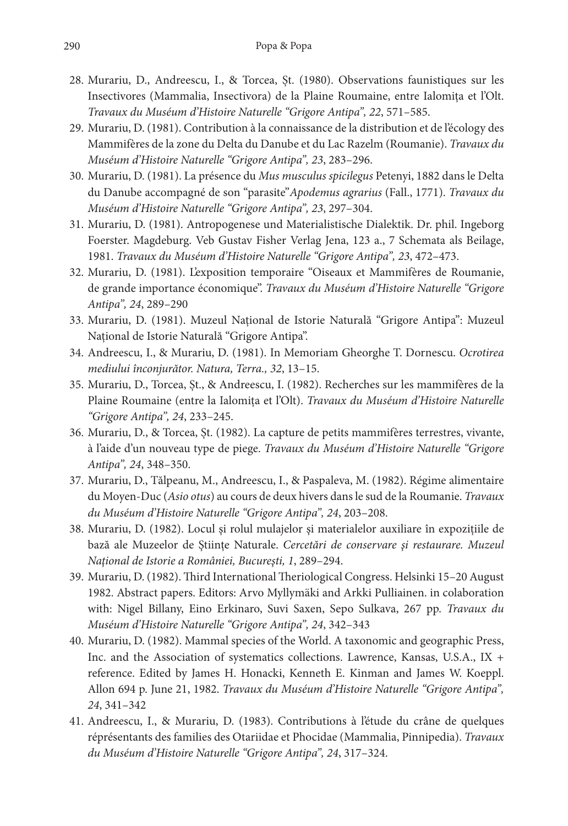- 28. Murariu, D., Andreescu, I., & Torcea, Șt. (1980). Observations faunistiques sur les Insectivores (Mammalia, Insectivora) de la Plaine Roumaine, entre Ialomita et l'Olt. *Travaux du Muséum d'Histoire Naturelle "Grigore Antipa", 22*, 571–585.
- 29. Murariu, D. (1981). Contribution à la connaissance de la distribution et de l'écology des Mammifères de la zone du Delta du Danube et du Lac Razelm (Roumanie). *Travaux du Muséum d'Histoire Naturelle "Grigore Antipa", 23*, 283–296.
- 30. Murariu, D. (1981). La présence du *Mus musculus spicilegus* Petenyi, 1882 dans le Delta du Danube accompagné de son "parasite"*Apodemus agrarius* (Fall., 1771). *Travaux du Muséum d'Histoire Naturelle "Grigore Antipa", 23*, 297–304.
- 31. Murariu, D. (1981). Antropogenese und Materialistische Dialektik. Dr. phil. Ingeborg Foerster. Magdeburg. Veb Gustav Fisher Verlag Jena, 123 a., 7 Schemata als Beilage, 1981. *Travaux du Muséum d'Histoire Naturelle "Grigore Antipa", 23*, 472–473.
- 32. Murariu, D. (1981). L'exposition temporaire "Oiseaux et Mammifères de Roumanie, de grande importance économique". *Travaux du Muséum d'Histoire Naturelle "Grigore Antipa", 24*, 289–290
- 33. Murariu, D. (1981). Muzeul Naţional de Istorie Naturală "Grigore Antipa": Muzeul Național de Istorie Naturală "Grigore Antipa".
- 34. Andreescu, I., & Murariu, D. (1981). In Memoriam Gheorghe T. Dornescu. *Ocrotirea mediului înconjurător. Natura, Terra., 32*, 13–15.
- 35. Murariu, D., Torcea, Șt., & Andreescu, I. (1982). Recherches sur les mammifères de la Plaine Roumaine (entre la Ialomiţa et l'Olt). *Travaux du Muséum d'Histoire Naturelle "Grigore Antipa", 24*, 233–245.
- 36. Murariu, D., & Torcea, Șt. (1982). La capture de petits mammifères terrestres, vivante, à l'aide d'un nouveau type de piege. *Travaux du Muséum d'Histoire Naturelle "Grigore Antipa", 24*, 348–350.
- 37. Murariu, D., Tălpeanu, M., Andreescu, I., & Paspaleva, M. (1982). Régime alimentaire du Moyen-Duc (*Asio otus*) au cours de deux hivers dans le sud de la Roumanie. *Travaux du Muséum d'Histoire Naturelle "Grigore Antipa", 24*, 203–208.
- 38. Murariu, D. (1982). Locul şi rolul mulajelor şi materialelor auxiliare în expoziţiile de bază ale Muzeelor de Ştiinţe Naturale. *Cercetări de conservare şi restaurare. Muzeul Naţional de Istorie a României, Bucureşti, 1*, 289–294.
- 39. Murariu, D. (1982). Third International Theriological Congress. Helsinki 15–20 August 1982. Abstract papers. Editors: Arvo Myllymäki and Arkki Pulliainen. in colaboration with: Nigel Billany, Eino Erkinaro, Suvi Saxen, Sepo Sulkava, 267 pp. *Travaux du Muséum d'Histoire Naturelle "Grigore Antipa", 24*, 342–343
- 40. Murariu, D. (1982). Mammal species of the World. A taxonomic and geographic Press, Inc. and the Association of systematics collections. Lawrence, Kansas, U.S.A., IX + reference. Edited by James H. Honacki, Kenneth E. Kinman and James W. Koeppl. Allon 694 p. June 21, 1982. *Travaux du Muséum d'Histoire Naturelle "Grigore Antipa", 24*, 341–342
- 41. Andreescu, I., & Murariu, D. (1983). Contributions à l'étude du crâne de quelques réprésentants des families des Otariidae et Phocidae (Mammalia, Pinnipedia). *Travaux du Muséum d'Histoire Naturelle "Grigore Antipa", 24*, 317–324.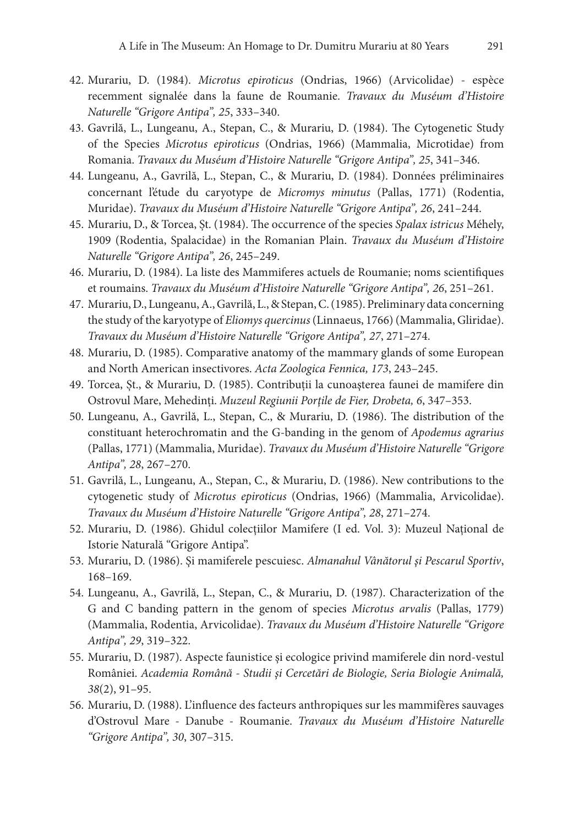- 42. Murariu, D. (1984). *Microtus epiroticus* (Ondrias, 1966) (Arvicolidae) espèce recemment signalée dans la faune de Roumanie. *Travaux du Muséum d'Histoire Naturelle "Grigore Antipa", 25*, 333–340.
- 43. Gavrilă, L., Lungeanu, A., Stepan, C., & Murariu, D. (1984). The Cytogenetic Study of the Species *Microtus epiroticus* (Ondrias, 1966) (Mammalia, Microtidae) from Romania. *Travaux du Muséum d'Histoire Naturelle "Grigore Antipa", 25*, 341–346.
- 44. Lungeanu, A., Gavrilă, L., Stepan, C., & Murariu, D. (1984). Données préliminaires concernant l'étude du caryotype de *Micromys minutus* (Pallas, 1771) (Rodentia, Muridae). *Travaux du Muséum d'Histoire Naturelle "Grigore Antipa", 26*, 241–244.
- 45. Murariu, D., & Torcea, Șt. (1984). The occurrence of the species *Spalax istricus* Méhely, 1909 (Rodentia, Spalacidae) in the Romanian Plain. *Travaux du Muséum d'Histoire Naturelle "Grigore Antipa", 26*, 245–249.
- 46. Murariu, D. (1984). La liste des Mammiferes actuels de Roumanie; noms scientifiques et roumains. *Travaux du Muséum d'Histoire Naturelle "Grigore Antipa", 26*, 251–261.
- 47. Murariu, D., Lungeanu, A., Gavrilă, L., & Stepan, C. (1985). Preliminary data concerning the study of the karyotype of *Eliomys quercinus* (Linnaeus, 1766) (Mammalia, Gliridae). *Travaux du Muséum d'Histoire Naturelle "Grigore Antipa", 27*, 271–274.
- 48. Murariu, D. (1985). Comparative anatomy of the mammary glands of some European and North American insectivores. *Acta Zoologica Fennica, 173*, 243–245.
- 49. Torcea, Șt., & Murariu, D. (1985). Contribuţii la cunoaşterea faunei de mamifere din Ostrovul Mare, Mehedinţi. *Muzeul Regiunii Porţile de Fier, Drobeta, 6*, 347–353.
- 50. Lungeanu, A., Gavrilă, L., Stepan, C., & Murariu, D. (1986). The distribution of the constituant heterochromatin and the G-banding in the genom of *Apodemus agrarius* (Pallas, 1771) (Mammalia, Muridae). *Travaux du Muséum d'Histoire Naturelle "Grigore Antipa", 28*, 267–270.
- 51. Gavrilă, L., Lungeanu, A., Stepan, C., & Murariu, D. (1986). New contributions to the cytogenetic study of *Microtus epiroticus* (Ondrias, 1966) (Mammalia, Arvicolidae). *Travaux du Muséum d'Histoire Naturelle "Grigore Antipa", 28*, 271–274.
- 52. Murariu, D. (1986). Ghidul colecţiilor Mamifere (I ed. Vol. 3): Muzeul Național de Istorie Naturală "Grigore Antipa".
- 53. Murariu, D. (1986). Şi mamiferele pescuiesc. *Almanahul Vânătorul şi Pescarul Sportiv*, 168–169.
- 54. Lungeanu, A., Gavrilă, L., Stepan, C., & Murariu, D. (1987). Characterization of the G and C banding pattern in the genom of species *Microtus arvalis* (Pallas, 1779) (Mammalia, Rodentia, Arvicolidae). *Travaux du Muséum d'Histoire Naturelle "Grigore Antipa", 29*, 319–322.
- 55. Murariu, D. (1987). Aspecte faunistice şi ecologice privind mamiferele din nord-vestul României. *Academia Română - Studii şi Cercetări de Biologie, Seria Biologie Animală, 38*(2), 91–95.
- 56. Murariu, D. (1988). L'influence des facteurs anthropiques sur les mammifères sauvages d'Ostrovul Mare - Danube - Roumanie. *Travaux du Muséum d'Histoire Naturelle "Grigore Antipa", 30*, 307–315.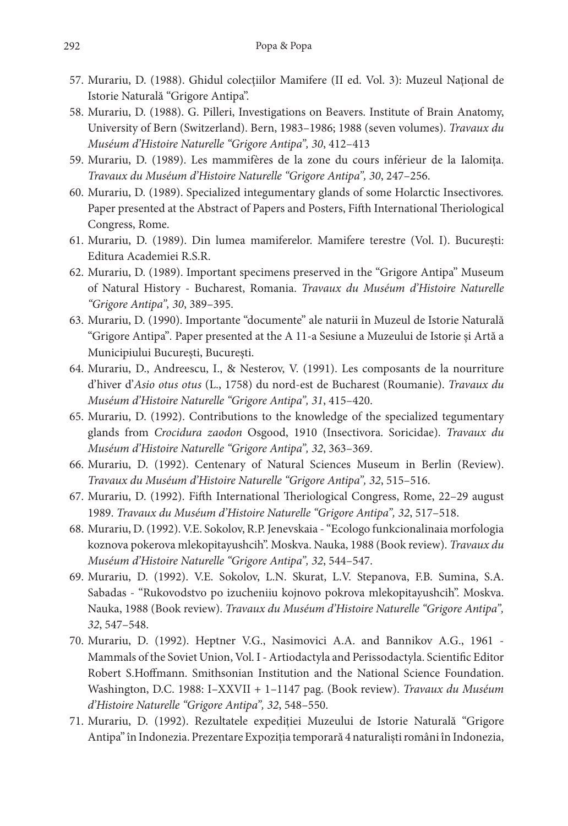- 57. Murariu, D. (1988). Ghidul colectiilor Mamifere (II ed. Vol. 3): Muzeul National de Istorie Naturală "Grigore Antipa".
- 58. Murariu, D. (1988). G. Pilleri, Investigations on Beavers. Institute of Brain Anatomy, University of Bern (Switzerland). Bern, 1983–1986; 1988 (seven volumes). *Travaux du Muséum d'Histoire Naturelle "Grigore Antipa", 30*, 412–413
- 59. Murariu, D. (1989). Les mammifères de la zone du cours inférieur de la Ialomiţa. *Travaux du Muséum d'Histoire Naturelle "Grigore Antipa", 30*, 247–256.
- 60. Murariu, D. (1989). Specialized integumentary glands of some Holarctic Insectivores*.* Paper presented at the Abstract of Papers and Posters, Fifth International Theriological Congress, Rome.
- 61. Murariu, D. (1989). Din lumea mamiferelor. Mamifere terestre (Vol. I). București: Editura Academiei R.S.R.
- 62. Murariu, D. (1989). Important specimens preserved in the "Grigore Antipa" Museum of Natural History - Bucharest, Romania. *Travaux du Muséum d'Histoire Naturelle "Grigore Antipa", 30*, 389–395.
- 63. Murariu, D. (1990). Importante "documente" ale naturii în Muzeul de Istorie Naturală "Grigore Antipa"*.* Paper presented at the A 11-a Sesiune a Muzeului de Istorie şi Artă a Municipiului Bucureşti, Bucureşti.
- 64. Murariu, D., Andreescu, I., & Nesterov, V. (1991). Les composants de la nourriture d'hiver d'*Asio otus otus* (L., 1758) du nord-est de Bucharest (Roumanie). *Travaux du Muséum d'Histoire Naturelle "Grigore Antipa", 31*, 415–420.
- 65. Murariu, D. (1992). Contributions to the knowledge of the specialized tegumentary glands from *Crocidura zaodon* Osgood, 1910 (Insectivora. Soricidae). *Travaux du Muséum d'Histoire Naturelle "Grigore Antipa", 32*, 363–369.
- 66. Murariu, D. (1992). Centenary of Natural Sciences Museum in Berlin (Review). *Travaux du Muséum d'Histoire Naturelle "Grigore Antipa", 32*, 515–516.
- 67. Murariu, D. (1992). Fifth International Theriological Congress, Rome, 22–29 august 1989. *Travaux du Muséum d'Histoire Naturelle "Grigore Antipa", 32*, 517–518.
- 68. Murariu, D. (1992). V.E. Sokolov, R.P. Jenevskaia "Ecologo funkcionalinaia morfologia koznova pokerova mlekopitayushcih". Moskva. Nauka, 1988 (Book review). *Travaux du Muséum d'Histoire Naturelle "Grigore Antipa", 32*, 544–547.
- 69. Murariu, D. (1992). V.E. Sokolov, L.N. Skurat, L.V. Stepanova, F.B. Sumina, S.A. Sabadas - "Rukovodstvo po izucheniiu kojnovo pokrova mlekopitayushcih". Moskva. Nauka, 1988 (Book review). *Travaux du Muséum d'Histoire Naturelle "Grigore Antipa", 32*, 547–548.
- 70. Murariu, D. (1992). Heptner V.G., Nasimovici A.A. and Bannikov A.G., 1961 -Mammals of the Soviet Union, Vol. I - Artiodactyla and Perissodactyla. Scientific Editor Robert S.Hoffmann. Smithsonian Institution and the National Science Foundation. Washington, D.C. 1988: I–XXVII + 1–1147 pag. (Book review). *Travaux du Muséum d'Histoire Naturelle "Grigore Antipa", 32*, 548–550.
- 71. Murariu, D. (1992). Rezultatele expediţiei Muzeului de Istorie Naturală "Grigore Antipa" în Indonezia. Prezentare Expoziţia temporară 4 naturalişti români în Indonezia,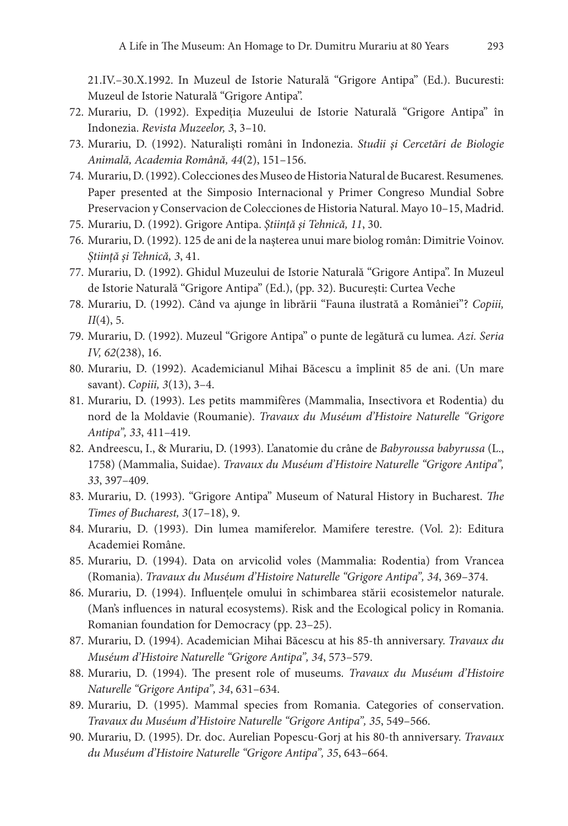21.IV.–30.X.1992. In Muzeul de Istorie Naturală "Grigore Antipa" (Ed.). Bucuresti: Muzeul de Istorie Naturală "Grigore Antipa".

- 72. Murariu, D. (1992). Expediţia Muzeului de Istorie Naturală "Grigore Antipa" în Indonezia. *Revista Muzeelor, 3*, 3–10.
- 73. Murariu, D. (1992). Naturalişti români în Indonezia. *Studii şi Cercetări de Biologie Animală, Academia Română, 44*(2), 151–156.
- 74. Murariu, D. (1992). Colecciones des Museo de Historia Natural de Bucarest. Resumenes*.* Paper presented at the Simposio Internacional y Primer Congreso Mundial Sobre Preservacion y Conservacion de Colecciones de Historia Natural. Mayo 10–15, Madrid.
- 75. Murariu, D. (1992). Grigore Antipa. *Ştiinţă şi Tehnică, 11*, 30.
- 76. Murariu, D. (1992). 125 de ani de la naşterea unui mare biolog român: Dimitrie Voinov. *Știință și Tehnică, 3*, 41.
- 77. Murariu, D. (1992). Ghidul Muzeului de Istorie Naturală "Grigore Antipa". In Muzeul de Istorie Naturală "Grigore Antipa" (Ed.), (pp. 32). București: Curtea Veche
- 78. Murariu, D. (1992). Când va ajunge în librării "Fauna ilustrată a României"? *Copiii, II*(4), 5.
- 79. Murariu, D. (1992). Muzeul "Grigore Antipa" o punte de legătură cu lumea. *Azi. Seria IV, 62*(238), 16.
- 80. Murariu, D. (1992). Academicianul Mihai Băcescu a împlinit 85 de ani. (Un mare savant). *Copiii, 3*(13), 3–4.
- 81. Murariu, D. (1993). Les petits mammifères (Mammalia, Insectivora et Rodentia) du nord de la Moldavie (Roumanie). *Travaux du Muséum d'Histoire Naturelle "Grigore Antipa", 33*, 411–419.
- 82. Andreescu, I., & Murariu, D. (1993). L'anatomie du crâne de *Babyroussa babyrussa* (L., 1758) (Mammalia, Suidae). *Travaux du Muséum d'Histoire Naturelle "Grigore Antipa", 33*, 397–409.
- 83. Murariu, D. (1993). "Grigore Antipa" Museum of Natural History in Bucharest. *The Times of Bucharest, 3*(17–18), 9.
- 84. Murariu, D. (1993). Din lumea mamiferelor. Mamifere terestre. (Vol. 2): Editura Academiei Române.
- 85. Murariu, D. (1994). Data on arvicolid voles (Mammalia: Rodentia) from Vrancea (Romania). *Travaux du Muséum d'Histoire Naturelle "Grigore Antipa", 34*, 369–374.
- 86. Murariu, D. (1994). Influenţele omului în schimbarea stării ecosistemelor naturale. (Man's influences in natural ecosystems). Risk and the Ecological policy in Romania. Romanian foundation for Democracy (pp. 23–25).
- 87. Murariu, D. (1994). Academician Mihai Băcescu at his 85-th anniversary. *Travaux du Muséum d'Histoire Naturelle "Grigore Antipa", 34*, 573–579.
- 88. Murariu, D. (1994). The present role of museums. *Travaux du Muséum d'Histoire Naturelle "Grigore Antipa", 34*, 631–634.
- 89. Murariu, D. (1995). Mammal species from Romania. Categories of conservation. *Travaux du Muséum d'Histoire Naturelle "Grigore Antipa", 35*, 549–566.
- 90. Murariu, D. (1995). Dr. doc. Aurelian Popescu-Gorj at his 80-th anniversary. *Travaux du Muséum d'Histoire Naturelle "Grigore Antipa", 35*, 643–664.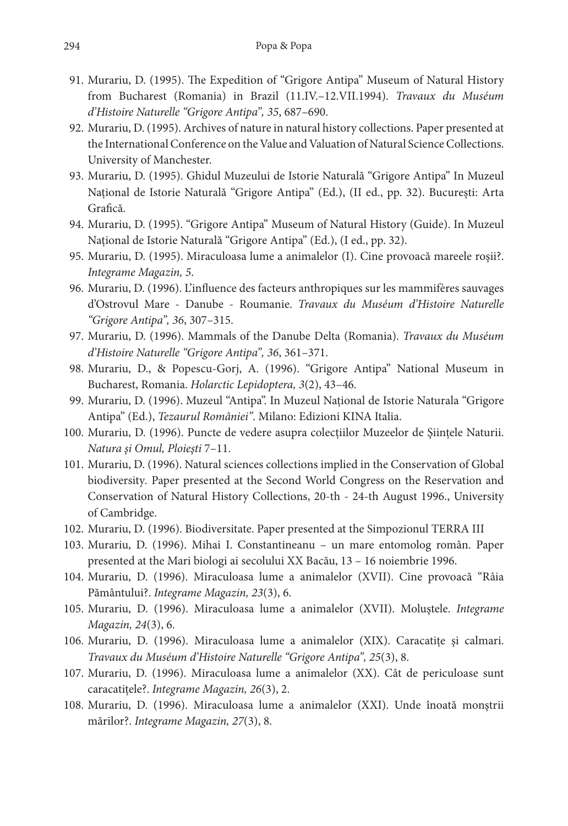- 91. Murariu, D. (1995). The Expedition of "Grigore Antipa" Museum of Natural History from Bucharest (Romania) in Brazil (11.IV.–12.VII.1994). *Travaux du Muséum d'Histoire Naturelle "Grigore Antipa", 35*, 687–690.
- 92. Murariu, D. (1995). Archives of nature in natural history collections. Paper presented at the International Conference on the Value and Valuation of Natural Science Collections. University of Manchester.
- 93. Murariu, D. (1995). Ghidul Muzeului de Istorie Naturală "Grigore Antipa" In Muzeul Național de Istorie Naturală "Grigore Antipa" (Ed.), (II ed., pp. 32). București: Arta Grafică.
- 94. Murariu, D. (1995). "Grigore Antipa" Museum of Natural History (Guide). In Muzeul Național de Istorie Naturală "Grigore Antipa" (Ed.), (I ed., pp. 32).
- 95. Murariu, D. (1995). Miraculoasa lume a animalelor (I). Cine provoacă mareele roşii?. *Integrame Magazin, 5*.
- 96. Murariu, D. (1996). L'influence des facteurs anthropiques sur les mammifères sauvages d'Ostrovul Mare - Danube - Roumanie. *Travaux du Muséum d'Histoire Naturelle "Grigore Antipa", 36*, 307–315.
- 97. Murariu, D. (1996). Mammals of the Danube Delta (Romania). *Travaux du Muséum d'Histoire Naturelle "Grigore Antipa", 36*, 361–371.
- 98. Murariu, D., & Popescu-Gorj, A. (1996). "Grigore Antipa" National Museum in Bucharest, Romania. *Holarctic Lepidoptera, 3*(2), 43–46.
- 99. Murariu, D. (1996). Muzeul "Antipa". In Muzeul Național de Istorie Naturala "Grigore Antipa" (Ed.), *Tezaurul României"*. Milano: Edizioni KINA Italia.
- 100. Murariu, D. (1996). Puncte de vedere asupra colecţiilor Muzeelor de Şiinţele Naturii. *Natura şi Omul, Ploieşti* 7–11.
- 101. Murariu, D. (1996). Natural sciences collections implied in the Conservation of Global biodiversity*.* Paper presented at the Second World Congress on the Reservation and Conservation of Natural History Collections, 20-th - 24-th August 1996., University of Cambridge.
- 102. Murariu, D. (1996). Biodiversitate. Paper presented at the Simpozionul TERRA III
- 103. Murariu, D. (1996). Mihai I. Constantineanu un mare entomolog român. Paper presented at the Mari biologi ai secolului XX Bacău, 13 – 16 noiembrie 1996.
- 104. Murariu, D. (1996). Miraculoasa lume a animalelor (XVII). Cine provoacă "Râia Pământului?. *Integrame Magazin, 23*(3), 6.
- 105. Murariu, D. (1996). Miraculoasa lume a animalelor (XVII). Moluştele. *Integrame Magazin, 24*(3), 6.
- 106. Murariu, D. (1996). Miraculoasa lume a animalelor (XIX). Caracatiţe şi calmari. *Travaux du Muséum d'Histoire Naturelle "Grigore Antipa", 25*(3), 8.
- 107. Murariu, D. (1996). Miraculoasa lume a animalelor (XX). Cât de periculoase sunt caracatiţele?. *Integrame Magazin, 26*(3), 2.
- 108. Murariu, D. (1996). Miraculoasa lume a animalelor (XXI). Unde înoată monştrii mărilor?. *Integrame Magazin, 27*(3), 8.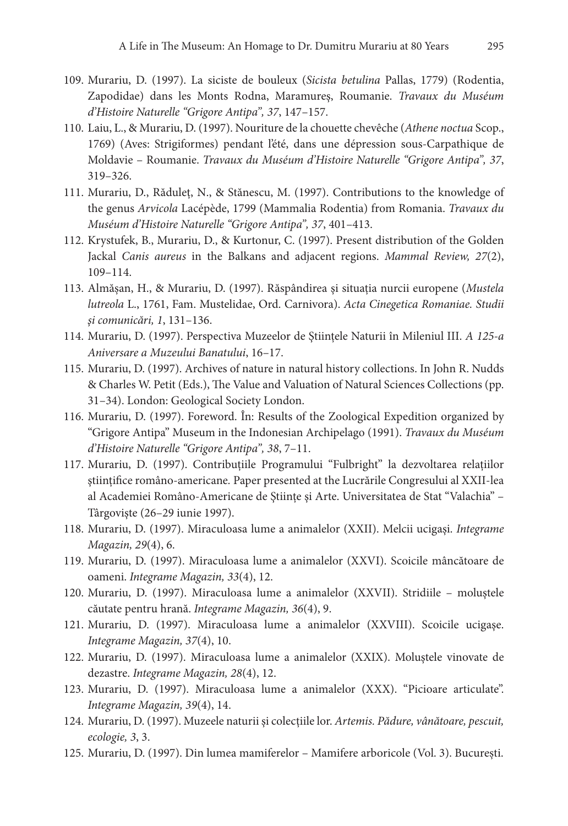- 109. Murariu, D. (1997). La siciste de bouleux (*Sicista betulina* Pallas, 1779) (Rodentia, Zapodidae) dans les Monts Rodna, Maramureş, Roumanie. *Travaux du Muséum d'Histoire Naturelle "Grigore Antipa", 37*, 147–157.
- 110. Laiu, L., & Murariu, D. (1997). Nouriture de la chouette chevêche (*Athene noctua* Scop., 1769) (Aves: Strigiformes) pendant l'été, dans une dépression sous-Carpathique de Moldavie – Roumanie. *Travaux du Muséum d'Histoire Naturelle "Grigore Antipa", 37*, 319–326.
- 111. Murariu, D., Răduleț, N., & Stănescu, M. (1997). Contributions to the knowledge of the genus *Arvicola* Lacépède, 1799 (Mammalia Rodentia) from Romania. *Travaux du Muséum d'Histoire Naturelle "Grigore Antipa", 37*, 401–413.
- 112. Krystufek, B., Murariu, D., & Kurtonur, C. (1997). Present distribution of the Golden Jackal *Canis aureus* in the Balkans and adjacent regions. *Mammal Review, 27*(2), 109–114.
- 113. Almășan, H., & Murariu, D. (1997). Răspândirea şi situaţia nurcii europene (*Mustela lutreola* L., 1761, Fam. Mustelidae, Ord. Carnivora). *Acta Cinegetica Romaniae. Studii şi comunicări, 1*, 131–136.
- 114. Murariu, D. (1997). Perspectiva Muzeelor de Ştiinţele Naturii în Mileniul III. *A 125-a Aniversare a Muzeului Banatului*, 16–17.
- 115. Murariu, D. (1997). Archives of nature in natural history collections. In John R. Nudds & Charles W. Petit (Eds.), The Value and Valuation of Natural Sciences Collections (pp. 31–34). London: Geological Society London.
- 116. Murariu, D. (1997). Foreword. În: Results of the Zoological Expedition organized by "Grigore Antipa" Museum in the Indonesian Archipelago (1991). *Travaux du Muséum d'Histoire Naturelle "Grigore Antipa", 38*, 7–11.
- 117. Murariu, D. (1997). Contribuţiile Programului "Fulbright" la dezvoltarea relaţiilor ştiinţifice româno-americane*.* Paper presented at the Lucrările Congresului al XXII-lea al Academiei Româno-Americane de Ştiinţe şi Arte. Universitatea de Stat "Valachia" – Târgovişte (26–29 iunie 1997).
- 118. Murariu, D. (1997). Miraculoasa lume a animalelor (XXII). Melcii ucigaşi. *Integrame Magazin, 29*(4), 6.
- 119. Murariu, D. (1997). Miraculoasa lume a animalelor (XXVI). Scoicile mâncătoare de oameni. *Integrame Magazin, 33*(4), 12.
- 120. Murariu, D. (1997). Miraculoasa lume a animalelor (XXVII). Stridiile moluştele căutate pentru hrană. *Integrame Magazin, 36*(4), 9.
- 121. Murariu, D. (1997). Miraculoasa lume a animalelor (XXVIII). Scoicile ucigaşe. *Integrame Magazin, 37*(4), 10.
- 122. Murariu, D. (1997). Miraculoasa lume a animalelor (XXIX). Moluştele vinovate de dezastre. *Integrame Magazin, 28*(4), 12.
- 123. Murariu, D. (1997). Miraculoasa lume a animalelor (XXX). "Picioare articulate". *Integrame Magazin, 39*(4), 14.
- 124. Murariu, D. (1997). Muzeele naturii şi colecţiile lor. *Artemis. Pădure, vânătoare, pescuit, ecologie, 3*, 3.
- 125. Murariu, D. (1997). Din lumea mamiferelor Mamifere arboricole (Vol. 3). București.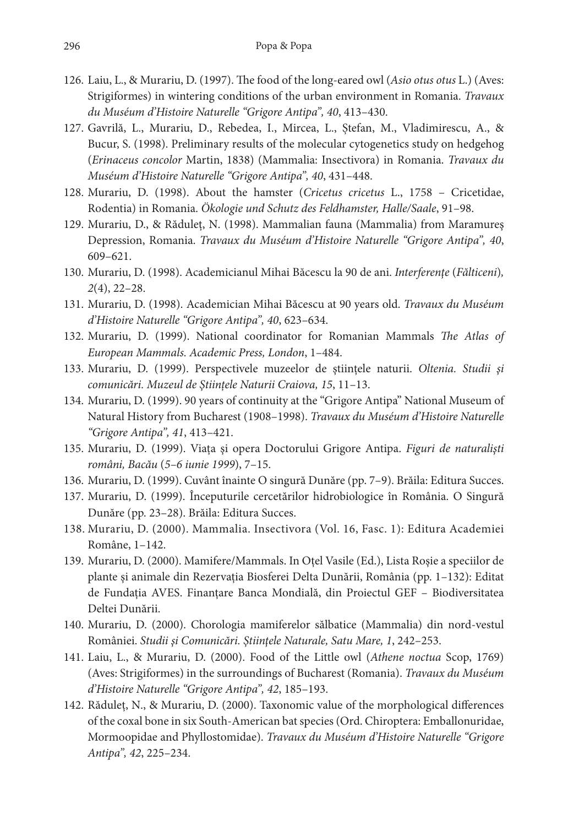- 126. Laiu, L., & Murariu, D. (1997). The food of the long-eared owl (*Asio otus otus* L.) (Aves: Strigiformes) in wintering conditions of the urban environment in Romania. *Travaux du Muséum d'Histoire Naturelle "Grigore Antipa", 40*, 413–430.
- 127. Gavrilă, L., Murariu, D., Rebedea, I., Mircea, L., Ștefan, M., Vladimirescu, A., & Bucur, S. (1998). Preliminary results of the molecular cytogenetics study on hedgehog (*Erinaceus concolor* Martin, 1838) (Mammalia: Insectivora) in Romania. *Travaux du Muséum d'Histoire Naturelle "Grigore Antipa", 40*, 431–448.
- 128. Murariu, D. (1998). About the hamster (*Cricetus cricetus* L., 1758 Cricetidae, Rodentia) in Romania. *Ökologie und Schutz des Feldhamster, Halle/Saale*, 91–98.
- 129. Murariu, D., & Răduleț, N. (1998). Mammalian fauna (Mammalia) from Maramureş Depression, Romania. *Travaux du Muséum d'Histoire Naturelle "Grigore Antipa", 40*, 609–621.
- 130. Murariu, D. (1998). Academicianul Mihai Băcescu la 90 de ani. *Interferenţe* (*Fălticeni*)*, 2*(4), 22–28.
- 131. Murariu, D. (1998). Academician Mihai Băcescu at 90 years old. *Travaux du Muséum d'Histoire Naturelle "Grigore Antipa", 40*, 623–634.
- 132. Murariu, D. (1999). National coordinator for Romanian Mammals *The Atlas of European Mammals. Academic Press, London*, 1–484.
- 133. Murariu, D. (1999). Perspectivele muzeelor de ştiinţele naturii. *Oltenia. Studii şi comunicări. Muzeul de Ştiințele Naturii Craiova, 15*, 11–13.
- 134. Murariu, D. (1999). 90 years of continuity at the "Grigore Antipa" National Museum of Natural History from Bucharest (1908–1998). *Travaux du Muséum d'Histoire Naturelle "Grigore Antipa", 41*, 413–421.
- 135. Murariu, D. (1999). Viaţa şi opera Doctorului Grigore Antipa. *Figuri de naturalişti români, Bacău* (*5–6 iunie 1999*), 7–15.
- 136. Murariu, D. (1999). Cuvânt înainte O singură Dunăre (pp. 7–9). Brăila: Editura Succes.
- 137. Murariu, D. (1999). Începuturile cercetărilor hidrobiologice în România. O Singură Dunăre (pp. 23–28). Brăila: Editura Succes.
- 138. Murariu, D. (2000). Mammalia. Insectivora (Vol. 16, Fasc. 1): Editura Academiei Române, 1–142.
- 139. Murariu, D. (2000). Mamifere/Mammals. In Oţel Vasile (Ed.), Lista Roşie a speciilor de plante şi animale din Rezervaţia Biosferei Delta Dunării, România (pp. 1–132): Editat de Fundaţia AVES. Finanţare Banca Mondială, din Proiectul GEF – Biodiversitatea Deltei Dunării.
- 140. Murariu, D. (2000). Chorologia mamiferelor sălbatice (Mammalia) din nord-vestul României. *Studii şi Comunicări. Ştiinţele Naturale, Satu Mare, 1*, 242–253.
- 141. Laiu, L., & Murariu, D. (2000). Food of the Little owl (*Athene noctua* Scop, 1769) (Aves: Strigiformes) in the surroundings of Bucharest (Romania). *Travaux du Muséum d'Histoire Naturelle "Grigore Antipa", 42*, 185–193.
- 142. Răduleț, N., & Murariu, D. (2000). Taxonomic value of the morphological differences of the coxal bone in six South-American bat species (Ord. Chiroptera: Emballonuridae, Mormoopidae and Phyllostomidae). *Travaux du Muséum d'Histoire Naturelle "Grigore Antipa", 42*, 225–234.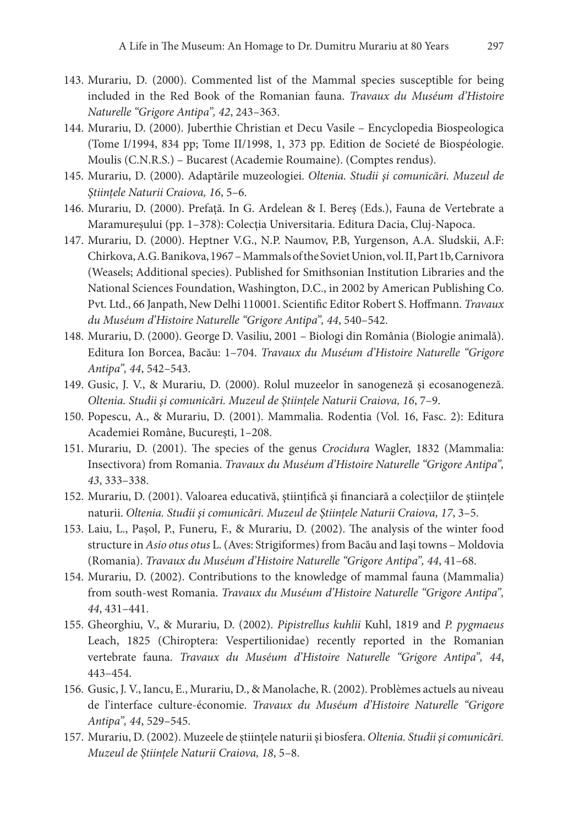- 143. Murariu, D. (2000). Commented list of the Mammal species susceptible for being included in the Red Book of the Romanian fauna. *Travaux du Muséum d'Histoire Naturelle "Grigore Antipa", 42*, 243–363.
- 144. Murariu, D. (2000). Juberthie Christian et Decu Vasile Encyclopedia Biospeologica (Tome I/1994, 834 pp; Tome II/1998, 1, 373 pp. Edition de Societé de Biospéologie. Moulis (C.N.R.S.) – Bucarest (Academie Roumaine). (Comptes rendus).
- 145. Murariu, D. (2000). Adaptările muzeologiei. *Oltenia. Studii şi comunicări. Muzeul de Ştiințele Naturii Craiova, 16*, 5–6.
- 146. Murariu, D. (2000). Prefață. In G. Ardelean & I. Bereş (Eds.), Fauna de Vertebrate a Maramureşului (pp. 1–378): Colecţia Universitaria. Editura Dacia, Cluj-Napoca.
- 147. Murariu, D. (2000). Heptner V.G., N.P. Naumov, P.B, Yurgenson, A.A. Sludskii, A.F: Chirkova, A.G. Banikova, 1967 – Mammals of the Soviet Union, vol. II, Part 1b, Carnivora (Weasels; Additional species). Published for Smithsonian Institution Libraries and the National Sciences Foundation, Washington, D.C., in 2002 by American Publishing Co. Pvt. Ltd., 66 Janpath, New Delhi 110001. Scientific Editor Robert S. Hoffmann. *Travaux du Muséum d'Histoire Naturelle "Grigore Antipa", 44*, 540–542.
- 148. Murariu, D. (2000). George D. Vasiliu, 2001 Biologi din România (Biologie animală). Editura Ion Borcea, Bacău: 1–704. *Travaux du Muséum d'Histoire Naturelle "Grigore Antipa", 44*, 542–543.
- 149. Gusic, J. V., & Murariu, D. (2000). Rolul muzeelor în sanogeneză şi ecosanogeneză. *Oltenia. Studii şi comunicări. Muzeul de Ştiințele Naturii Craiova, 16*, 7–9.
- 150. Popescu, A., & Murariu, D. (2001). Mammalia. Rodentia (Vol. 16, Fasc. 2): Editura Academiei Române, Bucureşti, 1–208.
- 151. Murariu, D. (2001). The species of the genus *Crocidura* Wagler, 1832 (Mammalia: Insectivora) from Romania. *Travaux du Muséum d'Histoire Naturelle "Grigore Antipa", 43*, 333–338.
- 152. Murariu, D. (2001). Valoarea educativă, ştiinţifică şi financiară a colecţiilor de ştiinţele naturii. *Oltenia. Studii şi comunicări. Muzeul de Ştiințele Naturii Craiova, 17*, 3–5.
- 153. Laiu, L., Pașol, P., Funeru, F., & Murariu, D. (2002). The analysis of the winter food structure in *Asio otus otus* L. (Aves: Strigiformes) from Bacău and Iaşi towns – Moldovia (Romania). *Travaux du Muséum d'Histoire Naturelle "Grigore Antipa", 44*, 41–68.
- 154. Murariu, D. (2002). Contributions to the knowledge of mammal fauna (Mammalia) from south-west Romania. *Travaux du Muséum d'Histoire Naturelle "Grigore Antipa", 44*, 431–441.
- 155. Gheorghiu, V., & Murariu, D. (2002). *Pipistrellus kuhlii* Kuhl, 1819 and *P. pygmaeus* Leach, 1825 (Chiroptera: Vespertilionidae) recently reported in the Romanian vertebrate fauna. *Travaux du Muséum d'Histoire Naturelle "Grigore Antipa", 44*, 443–454.
- 156. Gusic, J. V., Iancu, E., Murariu, D., & Manolache, R. (2002). Problèmes actuels au niveau de l'interface culture-économie. *Travaux du Muséum d'Histoire Naturelle "Grigore Antipa", 44*, 529–545.
- 157. Murariu, D. (2002). Muzeele de ştiinţele naturii şi biosfera. *Oltenia. Studii şi comunicări. Muzeul de Ştiințele Naturii Craiova, 18*, 5–8.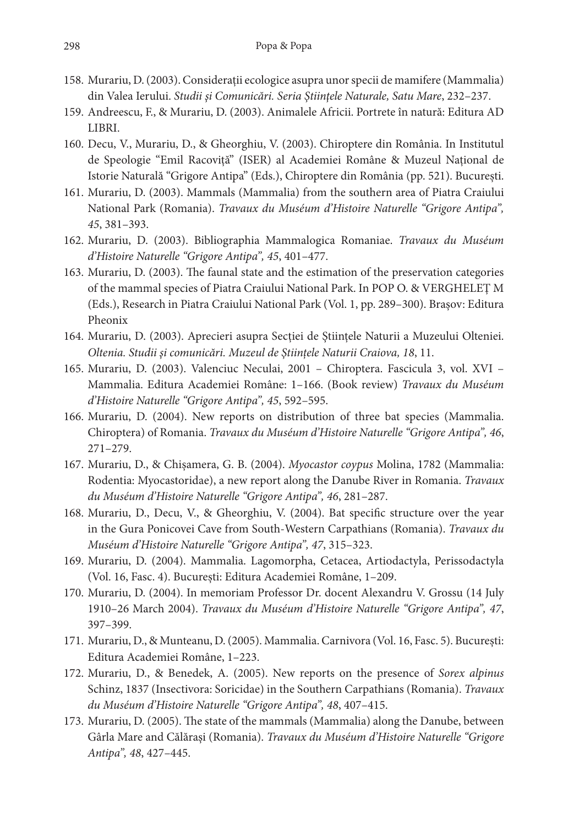- 158. Murariu, D. (2003). Consideraţii ecologice asupra unor specii de mamifere (Mammalia) din Valea Ierului. *Studii şi Comunicări. Seria Ştiinţele Naturale, Satu Mare*, 232–237.
- 159. Andreescu, F., & Murariu, D. (2003). Animalele Africii. Portrete în natură: Editura AD LIBRI.
- 160. Decu, V., Murariu, D., & Gheorghiu, V. (2003). Chiroptere din România. In Institutul de Speologie "Emil Racoviţă" (ISER) al Academiei Române & Muzeul Naţional de Istorie Naturală "Grigore Antipa" (Eds.), Chiroptere din România (pp. 521). București.
- 161. Murariu, D. (2003). Mammals (Mammalia) from the southern area of Piatra Craiului National Park (Romania). *Travaux du Muséum d'Histoire Naturelle "Grigore Antipa", 45*, 381–393.
- 162. Murariu, D. (2003). Bibliographia Mammalogica Romaniae. *Travaux du Muséum d'Histoire Naturelle "Grigore Antipa", 45*, 401–477.
- 163. Murariu, D. (2003). The faunal state and the estimation of the preservation categories of the mammal species of Piatra Craiului National Park. In POP O. & VERGHELEŢ M (Eds.), Research in Piatra Craiului National Park (Vol. 1, pp. 289–300). Brașov: Editura Pheonix
- 164. Murariu, D. (2003). Aprecieri asupra Secţiei de Ştiinţele Naturii a Muzeului Olteniei. *Oltenia. Studii şi comunicări. Muzeul de Ştiințele Naturii Craiova, 18*, 11.
- 165. Murariu, D. (2003). Valenciuc Neculai, 2001 Chiroptera. Fascicula 3, vol. XVI Mammalia. Editura Academiei Române: 1–166. (Book review) *Travaux du Muséum d'Histoire Naturelle "Grigore Antipa", 45*, 592–595.
- 166. Murariu, D. (2004). New reports on distribution of three bat species (Mammalia. Chiroptera) of Romania. *Travaux du Muséum d'Histoire Naturelle "Grigore Antipa", 46*, 271–279.
- 167. Murariu, D., & Chișamera, G. B. (2004). *Myocastor coypus* Molina, 1782 (Mammalia: Rodentia: Myocastoridae), a new report along the Danube River in Romania. *Travaux du Muséum d'Histoire Naturelle "Grigore Antipa", 46*, 281–287.
- 168. Murariu, D., Decu, V., & Gheorghiu, V. (2004). Bat specific structure over the year in the Gura Ponicovei Cave from South-Western Carpathians (Romania). *Travaux du Muséum d'Histoire Naturelle "Grigore Antipa", 47*, 315–323.
- 169. Murariu, D. (2004). Mammalia. Lagomorpha, Cetacea, Artiodactyla, Perissodactyla (Vol. 16, Fasc. 4). București: Editura Academiei Române, 1–209.
- 170. Murariu, D. (2004). In memoriam Professor Dr. docent Alexandru V. Grossu (14 July 1910–26 March 2004). *Travaux du Muséum d'Histoire Naturelle "Grigore Antipa", 47*, 397–399.
- 171. Murariu, D., & Munteanu, D. (2005). Mammalia. Carnivora (Vol. 16, Fasc. 5). București: Editura Academiei Române, 1–223.
- 172. Murariu, D., & Benedek, A. (2005). New reports on the presence of *Sorex alpinus* Schinz, 1837 (Insectivora: Soricidae) in the Southern Carpathians (Romania). *Travaux du Muséum d'Histoire Naturelle "Grigore Antipa", 48*, 407–415.
- 173. Murariu, D. (2005). The state of the mammals (Mammalia) along the Danube, between Gârla Mare and Călăraşi (Romania). *Travaux du Muséum d'Histoire Naturelle "Grigore Antipa", 48*, 427–445.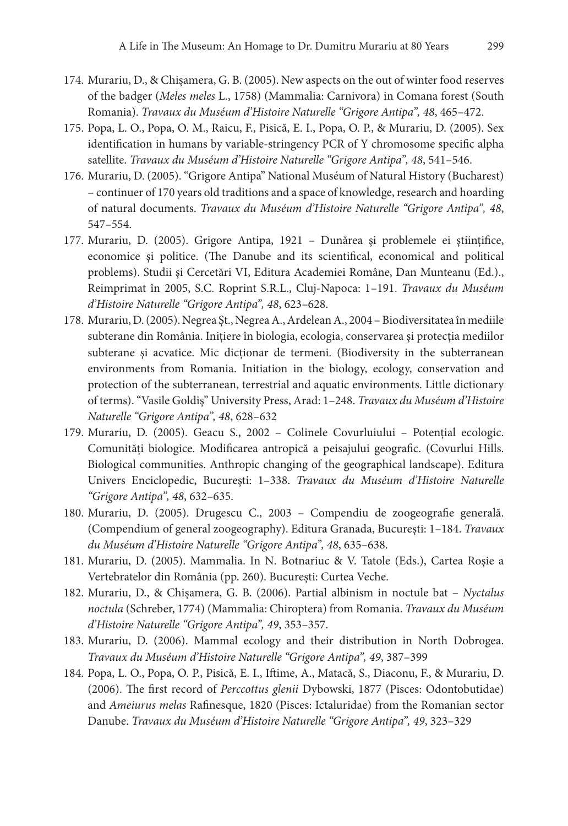- 174. Murariu, D., & Chișamera, G. B. (2005). New aspects on the out of winter food reserves of the badger (*Meles meles* L., 1758) (Mammalia: Carnivora) in Comana forest (South Romania). *Travaux du Muséum d'Histoire Naturelle "Grigore Antipa", 48*, 465–472.
- 175. Popa, L. O., Popa, O. M., Raicu, F., Pisică, E. I., Popa, O. P., & Murariu, D. (2005). Sex identification in humans by variable-stringency PCR of Y chromosome specific alpha satellite. *Travaux du Muséum d'Histoire Naturelle "Grigore Antipa", 48*, 541–546.
- 176. Murariu, D. (2005). "Grigore Antipa" National Muséum of Natural History (Bucharest) – continuer of 170 years old traditions and a space of knowledge, research and hoarding of natural documents. *Travaux du Muséum d'Histoire Naturelle "Grigore Antipa", 48*, 547–554.
- 177. Murariu, D. (2005). Grigore Antipa, 1921 Dunărea şi problemele ei ştiinţifice, economice şi politice. (The Danube and its scientifical, economical and political problems). Studii şi Cercetări VI, Editura Academiei Române, Dan Munteanu (Ed.)., Reimprimat în 2005, S.C. Roprint S.R.L., Cluj-Napoca: 1–191. *Travaux du Muséum d'Histoire Naturelle "Grigore Antipa", 48*, 623–628.
- 178. Murariu, D. (2005). Negrea Şt., Negrea A., Ardelean A., 2004 Biodiversitatea în mediile subterane din România. Inițiere în biologia, ecologia, conservarea și protecția mediilor subterane şi acvatice. Mic dicţionar de termeni. (Biodiversity in the subterranean environments from Romania. Initiation in the biology, ecology, conservation and protection of the subterranean, terrestrial and aquatic environments. Little dictionary of terms). "Vasile Goldiş" University Press, Arad: 1–248. *Travaux du Muséum d'Histoire Naturelle "Grigore Antipa", 48*, 628–632
- 179. Murariu, D. (2005). Geacu S., 2002 Colinele Covurluiului Potenţial ecologic. Comunităţi biologice. Modificarea antropică a peisajului geografic. (Covurlui Hills. Biological communities. Anthropic changing of the geographical landscape). Editura Univers Enciclopedic, Bucureşti: 1–338. *Travaux du Muséum d'Histoire Naturelle "Grigore Antipa", 48*, 632–635.
- 180. Murariu, D. (2005). Drugescu C., 2003 Compendiu de zoogeografie generală. (Compendium of general zoogeography). Editura Granada, Bucureşti: 1–184. *Travaux du Muséum d'Histoire Naturelle "Grigore Antipa", 48*, 635–638.
- 181. Murariu, D. (2005). Mammalia. In N. Botnariuc & V. Tatole (Eds.), Cartea Roşie a Vertebratelor din România (pp. 260). București: Curtea Veche.
- 182. Murariu, D., & Chișamera, G. B. (2006). Partial albinism in noctule bat *Nyctalus noctula* (Schreber, 1774) (Mammalia: Chiroptera) from Romania. *Travaux du Muséum d'Histoire Naturelle "Grigore Antipa", 49*, 353–357.
- 183. Murariu, D. (2006). Mammal ecology and their distribution in North Dobrogea. *Travaux du Muséum d'Histoire Naturelle "Grigore Antipa", 49*, 387–399
- 184. Popa, L. O., Popa, O. P., Pisică, E. I., Iftime, A., Matacă, S., Diaconu, F., & Murariu, D. (2006). The first record of *Perccottus glenii* Dybowski, 1877 (Pisces: Odontobutidae) and *Ameiurus melas* Rafinesque, 1820 (Pisces: Ictaluridae) from the Romanian sector Danube. *Travaux du Muséum d'Histoire Naturelle "Grigore Antipa", 49*, 323–329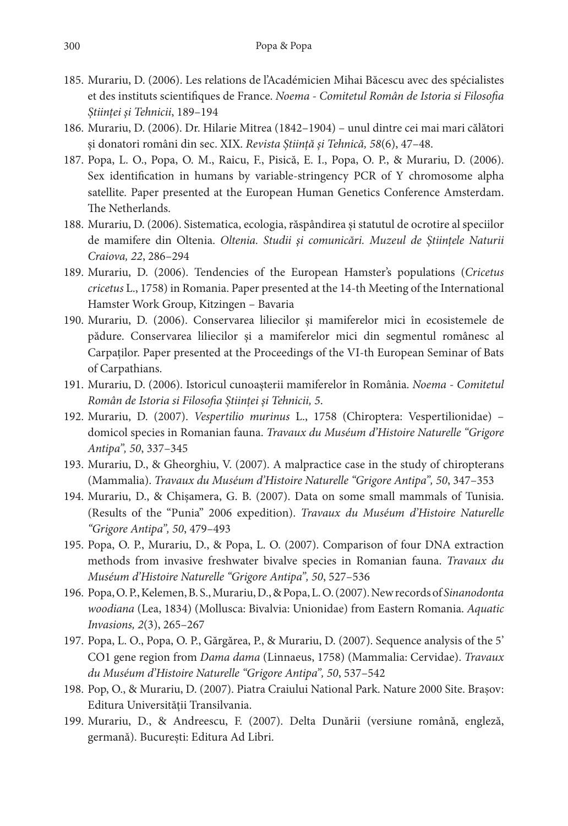- 185. Murariu, D. (2006). Les relations de l'Académicien Mihai Băcescu avec des spécialistes et des instituts scientifiques de France. *Noema - Comitetul Român de Istoria si Filosofia Științei și Tehnicii*, 189–194
- 186. Murariu, D. (2006). Dr. Hilarie Mitrea (1842–1904) unul dintre cei mai mari călători şi donatori români din sec. XIX. *Revista Știință și Tehnică, 58*(6), 47–48.
- 187. Popa, L. O., Popa, O. M., Raicu, F., Pisică, E. I., Popa, O. P., & Murariu, D. (2006). Sex identification in humans by variable-stringency PCR of Y chromosome alpha satellite*.* Paper presented at the European Human Genetics Conference Amsterdam. The Netherlands.
- 188. Murariu, D. (2006). Sistematica, ecologia, răspândirea şi statutul de ocrotire al speciilor de mamifere din Oltenia. *Oltenia. Studii şi comunicări. Muzeul de Ştiințele Naturii Craiova, 22*, 286–294
- 189. Murariu, D. (2006). Tendencies of the European Hamster's populations (*Cricetus cricetus* L., 1758) in Romania. Paper presented at the 14-th Meeting of the International Hamster Work Group, Kitzingen – Bavaria
- 190. Murariu, D. (2006). Conservarea liliecilor şi mamiferelor mici în ecosistemele de pădure. Conservarea liliecilor şi a mamiferelor mici din segmentul românesc al Carpaţilor. Paper presented at the Proceedings of the VI-th European Seminar of Bats of Carpathians.
- 191. Murariu, D. (2006). Istoricul cunoaşterii mamiferelor în România. *Noema Comitetul Român de Istoria si Filosofia Științei și Tehnicii, 5*.
- 192. Murariu, D. (2007). *Vespertilio murinus* L., 1758 (Chiroptera: Vespertilionidae) domicol species in Romanian fauna. *Travaux du Muséum d'Histoire Naturelle "Grigore Antipa", 50*, 337–345
- 193. Murariu, D., & Gheorghiu, V. (2007). A malpractice case in the study of chiropterans (Mammalia). *Travaux du Muséum d'Histoire Naturelle "Grigore Antipa", 50*, 347–353
- 194. Murariu, D., & Chișamera, G. B. (2007). Data on some small mammals of Tunisia. (Results of the "Punia" 2006 expedition). *Travaux du Muséum d'Histoire Naturelle "Grigore Antipa", 50*, 479–493
- 195. Popa, O. P., Murariu, D., & Popa, L. O. (2007). Comparison of four DNA extraction methods from invasive freshwater bivalve species in Romanian fauna. *Travaux du Muséum d'Histoire Naturelle "Grigore Antipa", 50*, 527–536
- 196. Popa, O. P., Kelemen, B. S., Murariu, D., & Popa, L. O. (2007). New records of *Sinanodonta woodiana* (Lea, 1834) (Mollusca: Bivalvia: Unionidae) from Eastern Romania. *Aquatic Invasions, 2*(3), 265–267
- 197. Popa, L. O., Popa, O. P., Gărgărea, P., & Murariu, D. (2007). Sequence analysis of the 5' CO1 gene region from *Dama dama* (Linnaeus, 1758) (Mammalia: Cervidae). *Travaux du Muséum d'Histoire Naturelle "Grigore Antipa", 50*, 537–542
- 198. Pop, O., & Murariu, D. (2007). Piatra Craiului National Park. Nature 2000 Site. Brașov: Editura Universităţii Transilvania.
- 199. Murariu, D., & Andreescu, F. (2007). Delta Dunării (versiune română, engleză, germană). București: Editura Ad Libri.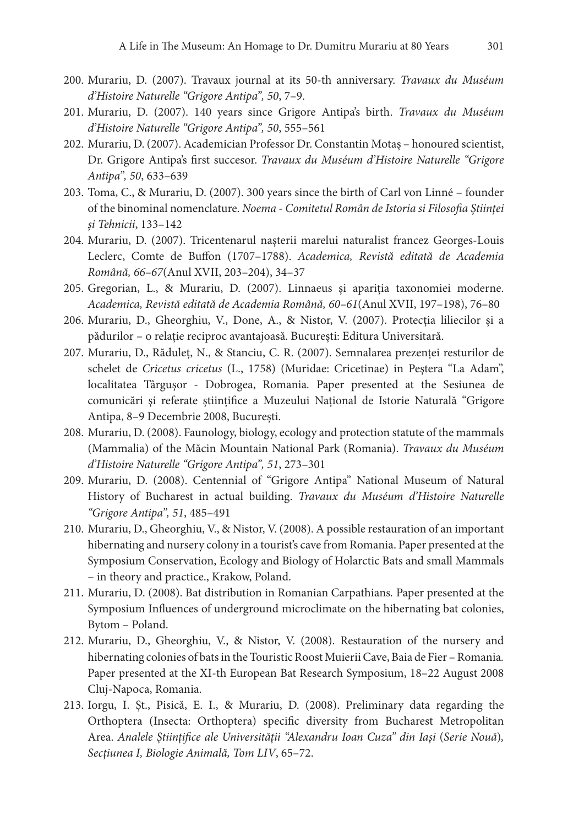- 200. Murariu, D. (2007). Travaux journal at its 50-th anniversary. *Travaux du Muséum d'Histoire Naturelle "Grigore Antipa", 50*, 7–9.
- 201. Murariu, D. (2007). 140 years since Grigore Antipa's birth. *Travaux du Muséum d'Histoire Naturelle "Grigore Antipa", 50*, 555–561
- 202. Murariu, D. (2007). Academician Professor Dr. Constantin Motaş honoured scientist, Dr. Grigore Antipa's first succesor. *Travaux du Muséum d'Histoire Naturelle "Grigore Antipa", 50*, 633–639
- 203. Toma, C., & Murariu, D. (2007). 300 years since the birth of Carl von Linné founder of the binominal nomenclature. *Noema - Comitetul Român de Istoria si Filosofia Științei și Tehnicii*, 133–142
- 204. Murariu, D. (2007). Tricentenarul naşterii marelui naturalist francez Georges-Louis Leclerc, Comte de Buffon (1707–1788). *Academica, Revistă editată de Academia Română, 66–67*(Anul XVII, 203–204), 34–37
- 205. Gregorian, L., & Murariu, D. (2007). Linnaeus şi apariţia taxonomiei moderne. *Academica, Revistă editată de Academia Română, 60–61*(Anul XVII, 197–198), 76–80
- 206. Murariu, D., Gheorghiu, V., Done, A., & Nistor, V. (2007). Protecţia liliecilor şi a pădurilor – o relaţie reciproc avantajoasă. București: Editura Universitară.
- 207. Murariu, D., Răduleț, N., & Stanciu, C. R. (2007). Semnalarea prezenţei resturilor de schelet de *Cricetus cricetus* (L., 1758) (Muridae: Cricetinae) in Peştera "La Adam", localitatea Târguşor - Dobrogea, Romania*.* Paper presented at the Sesiunea de comunicări şi referate ştiinţifice a Muzeului Național de Istorie Naturală "Grigore Antipa, 8–9 Decembrie 2008, București.
- 208. Murariu, D. (2008). Faunology, biology, ecology and protection statute of the mammals (Mammalia) of the Măcin Mountain National Park (Romania). *Travaux du Muséum d'Histoire Naturelle "Grigore Antipa", 51*, 273–301
- 209. Murariu, D. (2008). Centennial of "Grigore Antipa" National Museum of Natural History of Bucharest in actual building. *Travaux du Muséum d'Histoire Naturelle "Grigore Antipa", 51*, 485–491
- 210. Murariu, D., Gheorghiu, V., & Nistor, V. (2008). A possible restauration of an important hibernating and nursery colony in a tourist's cave from Romania. Paper presented at the Symposium Conservation, Ecology and Biology of Holarctic Bats and small Mammals – in theory and practice., Krakow, Poland.
- 211. Murariu, D. (2008). Bat distribution in Romanian Carpathians*.* Paper presented at the Symposium Influences of underground microclimate on the hibernating bat colonies, Bytom – Poland.
- 212. Murariu, D., Gheorghiu, V., & Nistor, V. (2008). Restauration of the nursery and hibernating colonies of bats in the Touristic Roost Muierii Cave, Baia de Fier – Romania*.* Paper presented at the XI-th European Bat Research Symposium, 18–22 August 2008 Cluj-Napoca, Romania.
- 213. Iorgu, I. Șt., Pisică, E. I., & Murariu, D. (2008). Preliminary data regarding the Orthoptera (Insecta: Orthoptera) specific diversity from Bucharest Metropolitan Area. *Analele Ştiinţifice ale Universităţii "Alexandru Ioan Cuza" din Iaşi* (*Serie Nouă*)*, Secţiunea I, Biologie Animală, Tom LIV*, 65–72.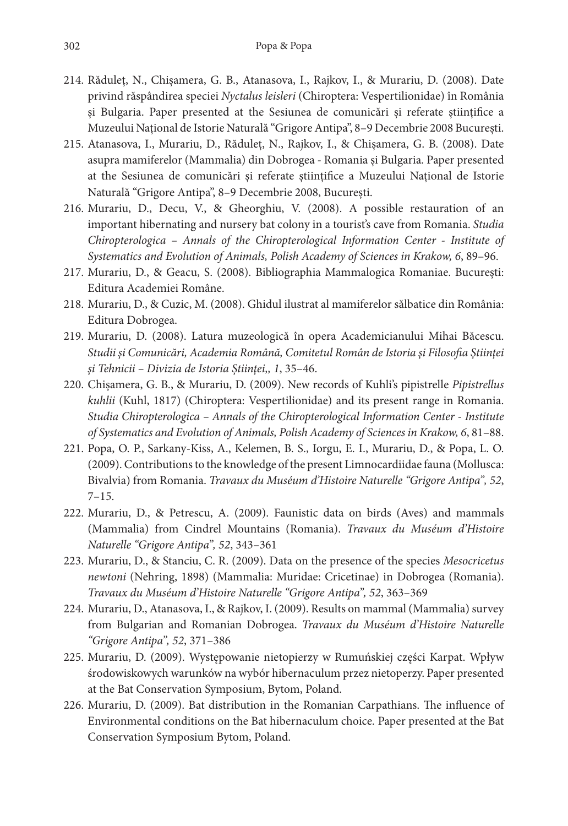- 214. Răduleț, N., Chișamera, G. B., Atanasova, I., Rajkov, I., & Murariu, D. (2008). Date privind răspândirea speciei *Nyctalus leisleri* (Chiroptera: Vespertilionidae) în România şi Bulgaria. Paper presented at the Sesiunea de comunicări şi referate ştiinţifice a Muzeului Național de Istorie Naturală "Grigore Antipa", 8–9 Decembrie 2008 București.
- 215. Atanasova, I., Murariu, D., Răduleț, N., Rajkov, I., & Chișamera, G. B. (2008). Date asupra mamiferelor (Mammalia) din Dobrogea - Romania şi Bulgaria*.* Paper presented at the Sesiunea de comunicări şi referate ştiinţifice a Muzeului Național de Istorie Naturală "Grigore Antipa", 8–9 Decembrie 2008, București.
- 216. Murariu, D., Decu, V., & Gheorghiu, V. (2008). A possible restauration of an important hibernating and nursery bat colony in a tourist's cave from Romania. *Studia Chiropterologica – Annals of the Chiropterological Information Center - Institute of Systematics and Evolution of Animals, Polish Academy of Sciences in Krakow, 6*, 89–96.
- 217. Murariu, D., & Geacu, S. (2008). Bibliographia Mammalogica Romaniae. București: Editura Academiei Române.
- 218. Murariu, D., & Cuzic, M. (2008). Ghidul ilustrat al mamiferelor sălbatice din România: Editura Dobrogea.
- 219. Murariu, D. (2008). Latura muzeologică în opera Academicianului Mihai Băcescu. *Studii şi Comunicări, Academia Română, Comitetul Român de Istoria şi Filosofia Ştiinţei şi Tehnicii – Divizia de Istoria Știinţei,, 1*, 35–46.
- 220. Chișamera, G. B., & Murariu, D. (2009). New records of Kuhli's pipistrelle *Pipistrellus kuhlii* (Kuhl, 1817) (Chiroptera: Vespertilionidae) and its present range in Romania. *Studia Chiropterologica – Annals of the Chiropterological Information Center - Institute of Systematics and Evolution of Animals, Polish Academy of Sciences in Krakow, 6*, 81–88.
- 221. Popa, O. P., Sarkany-Kiss, A., Kelemen, B. S., Iorgu, E. I., Murariu, D., & Popa, L. O. (2009). Contributions to the knowledge of the present Limnocardiidae fauna (Mollusca: Bivalvia) from Romania. *Travaux du Muséum d'Histoire Naturelle "Grigore Antipa", 52*,  $7-15.$
- 222. Murariu, D., & Petrescu, A. (2009). Faunistic data on birds (Aves) and mammals (Mammalia) from Cindrel Mountains (Romania). *Travaux du Muséum d'Histoire Naturelle "Grigore Antipa", 52*, 343–361
- 223. Murariu, D., & Stanciu, C. R. (2009). Data on the presence of the species *Mesocricetus newtoni* (Nehring, 1898) (Mammalia: Muridae: Cricetinae) in Dobrogea (Romania). *Travaux du Muséum d'Histoire Naturelle "Grigore Antipa", 52*, 363–369
- 224. Murariu, D., Atanasova, I., & Rajkov, I. (2009). Results on mammal (Mammalia) survey from Bulgarian and Romanian Dobrogea. *Travaux du Muséum d'Histoire Naturelle "Grigore Antipa", 52*, 371–386
- 225. Murariu, D. (2009). Występowanie nietopierzy w Rumuńskiej części Karpat. Wpływ środowiskowych warunków na wybór hibernaculum przez nietoperzy. Paper presented at the Bat Conservation Symposium, Bytom, Poland.
- 226. Murariu, D. (2009). Bat distribution in the Romanian Carpathians. The influence of Environmental conditions on the Bat hibernaculum choice*.* Paper presented at the Bat Conservation Symposium Bytom, Poland.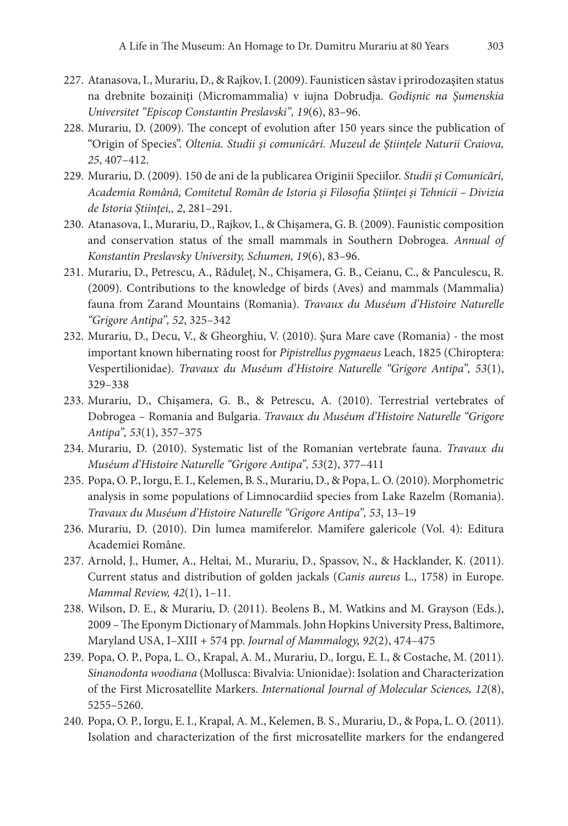- 227. Atanasova, I., Murariu, D., & Rajkov, I. (2009). Faunisticen sâstav i prirodozaşiten status na drebnite bozainiţi (Micromammalia) v iujna Dobrudja. *Godişnic na Şumenskia Universitet "Episcop Constantin Preslavski", 19*(6), 83–96.
- 228. Murariu, D. (2009). The concept of evolution after 150 years since the publication of "Origin of Species". *Oltenia. Studii şi comunicări. Muzeul de Ştiințele Naturii Craiova, 25*, 407–412.
- 229. Murariu, D. (2009). 150 de ani de la publicarea Originii Speciilor. *Studii şi Comunicări, Academia Română, Comitetul Român de Istoria şi Filosofia Ştiinţei şi Tehnicii – Divizia de Istoria Știinţei,, 2*, 281–291.
- 230. Atanasova, I., Murariu, D., Rajkov, I., & Chișamera, G. B. (2009). Faunistic composition and conservation status of the small mammals in Southern Dobrogea. *Annual of Konstantin Preslavsky University, Schumen, 19*(6), 83–96.
- 231. Murariu, D., Petrescu, A., Răduleț, N., Chișamera, G. B., Ceianu, C., & Panculescu, R. (2009). Contributions to the knowledge of birds (Aves) and mammals (Mammalia) fauna from Zarand Mountains (Romania). *Travaux du Muséum d'Histoire Naturelle "Grigore Antipa", 52*, 325–342
- 232. Murariu, D., Decu, V., & Gheorghiu, V. (2010). Şura Mare cave (Romania) the most important known hibernating roost for *Pipistrellus pygmaeus* Leach, 1825 (Chiroptera: Vespertilionidae). *Travaux du Muséum d'Histoire Naturelle "Grigore Antipa", 53*(1), 329–338
- 233. Murariu, D., Chișamera, G. B., & Petrescu, A. (2010). Terrestrial vertebrates of Dobrogea – Romania and Bulgaria. *Travaux du Muséum d'Histoire Naturelle "Grigore Antipa", 53*(1), 357–375
- 234. Murariu, D. (2010). Systematic list of the Romanian vertebrate fauna. *Travaux du Muséum d'Histoire Naturelle "Grigore Antipa", 53*(2), 377–411
- 235. Popa, O. P., Iorgu, E. I., Kelemen, B. S., Murariu, D., & Popa, L. O. (2010). Morphometric analysis in some populations of Limnocardiid species from Lake Razelm (Romania). *Travaux du Muséum d'Histoire Naturelle "Grigore Antipa", 53*, 13–19
- 236. Murariu, D. (2010). Din lumea mamiferelor. Mamifere galericole (Vol. 4): Editura Academiei Române.
- 237. Arnold, J., Humer, A., Heltai, M., Murariu, D., Spassov, N., & Hacklander, K. (2011). Current status and distribution of golden jackals (*Canis aureus* L., 1758) in Europe. *Mammal Review, 42*(1), 1–11.
- 238. Wilson, D. E., & Murariu, D. (2011). Beolens B., M. Watkins and M. Grayson (Eds.), 2009 – The Eponym Dictionary of Mammals. John Hopkins University Press, Baltimore, Maryland USA, I–XIII + 574 pp. *Journal of Mammalogy, 92*(2), 474–475
- 239. Popa, O. P., Popa, L. O., Krapal, A. M., Murariu, D., Iorgu, E. I., & Costache, M. (2011). *Sinanodonta woodiana* (Mollusca: Bivalvia: Unionidae): Isolation and Characterization of the First Microsatellite Markers. *International Journal of Molecular Sciences, 12*(8), 5255–5260.
- 240. Popa, O. P., Iorgu, E. I., Krapal, A. M., Kelemen, B. S., Murariu, D., & Popa, L. O. (2011). Isolation and characterization of the first microsatellite markers for the endangered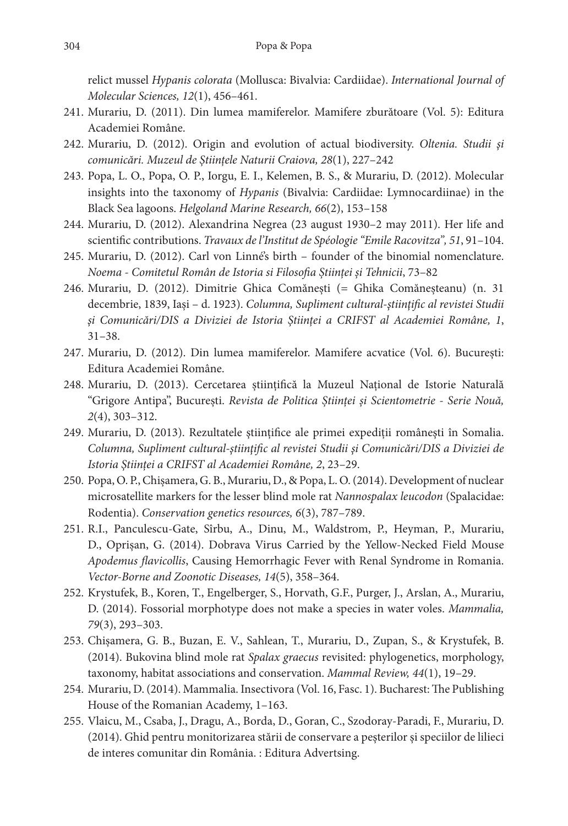relict mussel *Hypanis colorata* (Mollusca: Bivalvia: Cardiidae). *International Journal of Molecular Sciences, 12*(1), 456–461.

- 241. Murariu, D. (2011). Din lumea mamiferelor. Mamifere zburătoare (Vol. 5): Editura Academiei Române.
- 242. Murariu, D. (2012). Origin and evolution of actual biodiversity. *Oltenia. Studii şi comunicări. Muzeul de Ştiințele Naturii Craiova, 28*(1), 227–242
- 243. Popa, L. O., Popa, O. P., Iorgu, E. I., Kelemen, B. S., & Murariu, D. (2012). Molecular insights into the taxonomy of *Hypanis* (Bivalvia: Cardiidae: Lymnocardiinae) in the Black Sea lagoons. *Helgoland Marine Research, 66*(2), 153–158
- 244. Murariu, D. (2012). Alexandrina Negrea (23 august 1930–2 may 2011). Her life and scientific contributions. *Travaux de l'Institut de Spéologie "Emile Racovitza", 51*, 91–104.
- 245. Murariu, D. (2012). Carl von Linné's birth founder of the binomial nomenclature. *Noema - Comitetul Român de Istoria si Filosofia Științei și Tehnicii*, 73–82
- 246. Murariu, D. (2012). Dimitrie Ghica Comănești (= Ghika Comăneșteanu) (n. 31 decembrie, 1839, Iași – d. 1923). *Columna, Supliment cultural-ştiinţific al revistei Studii şi Comunicări/DIS a Diviziei de Istoria Ştiinței a CRIFST al Academiei Române, 1*, 31–38.
- 247. Murariu, D. (2012). Din lumea mamiferelor. Mamifere acvatice (Vol. 6). București: Editura Academiei Române.
- 248. Murariu, D. (2013). Cercetarea științifică la Muzeul Național de Istorie Naturală "Grigore Antipa", București. *Revista de Politica Științei și Scientometrie - Serie Nouă, 2*(4), 303–312.
- 249. Murariu, D. (2013). Rezultatele științifice ale primei expediții românești în Somalia. *Columna, Supliment cultural-ştiinţific al revistei Studii şi Comunicări/DIS a Diviziei de Istoria Ştiinței a CRIFST al Academiei Române, 2*, 23–29.
- 250. Popa, O. P., Chișamera, G. B., Murariu, D., & Popa, L. O. (2014). Development of nuclear microsatellite markers for the lesser blind mole rat *Nannospalax leucodon* (Spalacidae: Rodentia). *Conservation genetics resources, 6*(3), 787–789.
- 251. R.I., Panculescu-Gate, Sîrbu, A., Dinu, M., Waldstrom, P., Heyman, P., Murariu, D., Oprișan, G. (2014). Dobrava Virus Carried by the Yellow-Necked Field Mouse *Apodemus flavicollis*, Causing Hemorrhagic Fever with Renal Syndrome in Romania. *Vector-Borne and Zoonotic Diseases, 14*(5), 358–364.
- 252. Krystufek, B., Koren, T., Engelberger, S., Horvath, G.F., Purger, J., Arslan, A., Murariu, D. (2014). Fossorial morphotype does not make a species in water voles. *Mammalia, 79*(3), 293–303.
- 253. Chișamera, G. B., Buzan, E. V., Sahlean, T., Murariu, D., Zupan, S., & Krystufek, B. (2014). Bukovina blind mole rat *Spalax graecus* revisited: phylogenetics, morphology, taxonomy, habitat associations and conservation. *Mammal Review, 44*(1), 19–29.
- 254. Murariu, D. (2014). Mammalia. Insectivora (Vol. 16, Fasc. 1). Bucharest: The Publishing House of the Romanian Academy, 1–163.
- 255. Vlaicu, M., Csaba, J., Dragu, A., Borda, D., Goran, C., Szodoray-Paradi, F., Murariu, D. (2014). Ghid pentru monitorizarea stării de conservare a peşterilor şi speciilor de lilieci de interes comunitar din România. : Editura Advertsing.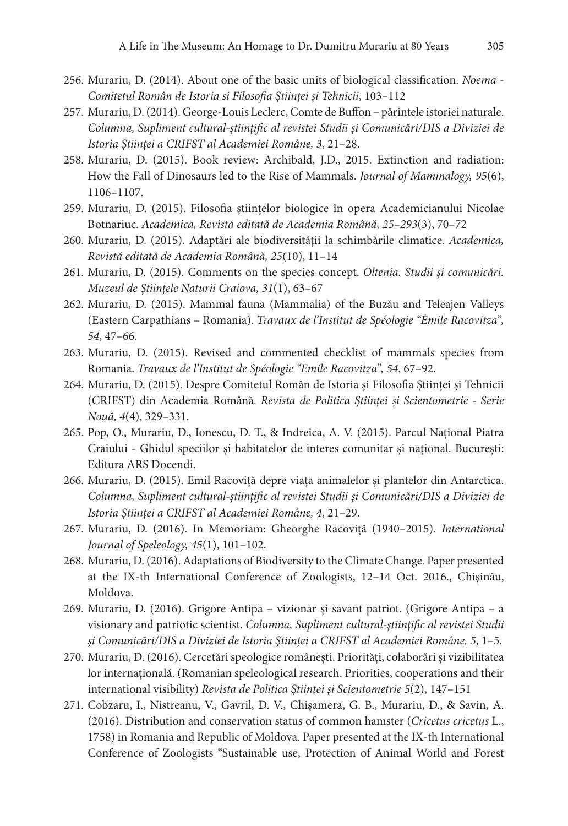- 256. Murariu, D. (2014). About one of the basic units of biological classification. *Noema Comitetul Român de Istoria si Filosofia Științei și Tehnicii*, 103–112
- 257. Murariu, D. (2014). George-Louis Leclerc, Comte de Buffon părintele istoriei naturale. *Columna, Supliment cultural-ştiinţific al revistei Studii şi Comunicări/DIS a Diviziei de Istoria Ştiinței a CRIFST al Academiei Române, 3*, 21–28.
- 258. Murariu, D. (2015). Book review: Archibald, J.D., 2015. Extinction and radiation: How the Fall of Dinosaurs led to the Rise of Mammals. *Journal of Mammalogy, 95*(6), 1106–1107.
- 259. Murariu, D. (2015). Filosofia ştiinţelor biologice în opera Academicianului Nicolae Botnariuc. *Academica, Revistă editată de Academia Română, 25–293*(3), 70–72
- 260. Murariu, D. (2015). Adaptări ale biodiversității la schimbările climatice. *Academica, Revistă editată de Academia Română, 25*(10), 11–14
- 261. Murariu, D. (2015). Comments on the species concept. *Oltenia. Studii şi comunicări. Muzeul de Ştiințele Naturii Craiova, 31*(1), 63–67
- 262. Murariu, D. (2015). Mammal fauna (Mammalia) of the Buzău and Teleajen Valleys (Eastern Carpathians – Romania). *Travaux de l'Institut de Spéologie "Ėmile Racovitza", 54*, 47–66.
- 263. Murariu, D. (2015). Revised and commented checklist of mammals species from Romania. *Travaux de l'Institut de Spéologie "Emile Racovitza", 54*, 67–92.
- 264. Murariu, D. (2015). Despre Comitetul Român de Istoria și Filosofia Științei și Tehnicii (CRIFST) din Academia Română. *Revista de Politica Științei și Scientometrie - Serie Nouă, 4*(4), 329–331.
- 265. Pop, O., Murariu, D., Ionescu, D. T., & Indreica, A. V. (2015). Parcul Național Piatra Craiului - Ghidul speciilor și habitatelor de interes comunitar și național. București: Editura ARS Docendi.
- 266. Murariu, D. (2015). Emil Racoviţă depre viaţa animalelor şi plantelor din Antarctica. *Columna, Supliment cultural-ştiinţific al revistei Studii şi Comunicări/DIS a Diviziei de Istoria Ştiinței a CRIFST al Academiei Române, 4*, 21–29.
- 267. Murariu, D. (2016). In Memoriam: Gheorghe Racoviţă (1940–2015). *International Journal of Speleology, 45*(1), 101–102.
- 268. Murariu, D. (2016). Adaptations of Biodiversity to the Climate Change*.* Paper presented at the IX-th International Conference of Zoologists, 12–14 Oct. 2016., Chişinău, Moldova.
- 269. Murariu, D. (2016). Grigore Antipa vizionar şi savant patriot. (Grigore Antipa a visionary and patriotic scientist. *Columna, Supliment cultural-ştiinţific al revistei Studii şi Comunicări/DIS a Diviziei de Istoria Ştiinței a CRIFST al Academiei Române, 5*, 1–5.
- 270. Murariu, D. (2016). Cercetări speologice româneşti. Priorităţi, colaborări şi vizibilitatea lor internaţională. (Romanian speleological research. Priorities, cooperations and their international visibility) *Revista de Politica Ştiinţei şi Scientometrie 5*(2), 147–151
- 271. Cobzaru, I., Nistreanu, V., Gavril, D. V., Chișamera, G. B., Murariu, D., & Savin, A. (2016). Distribution and conservation status of common hamster (*Cricetus cricetus* L., 1758) in Romania and Republic of Moldova*.* Paper presented at the IX-th International Conference of Zoologists "Sustainable use, Protection of Animal World and Forest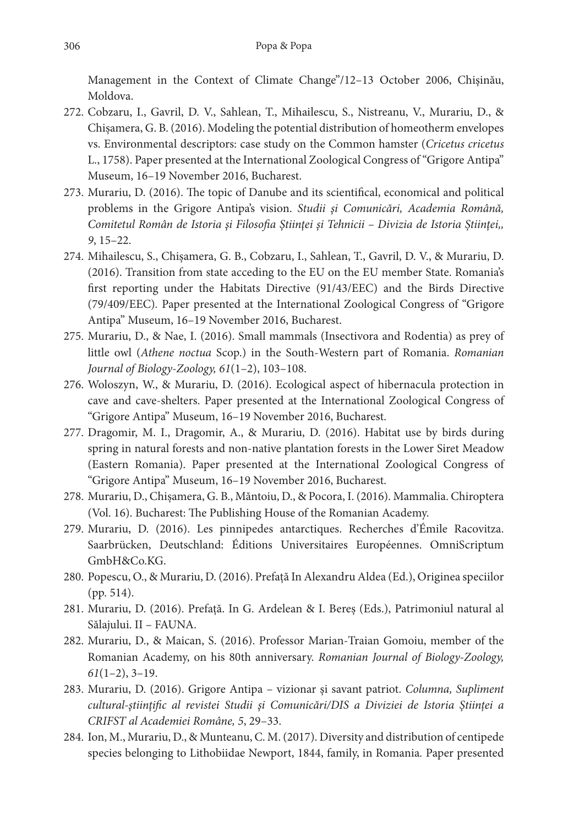Management in the Context of Climate Change"/12–13 October 2006, Chişinău, Moldova.

- 272. Cobzaru, I., Gavril, D. V., Sahlean, T., Mihailescu, S., Nistreanu, V., Murariu, D., & Chișamera, G. B. (2016). Modeling the potential distribution of homeotherm envelopes vs. Environmental descriptors: case study on the Common hamster (*Cricetus cricetus* L., 1758). Paper presented at the International Zoological Congress of "Grigore Antipa" Museum, 16–19 November 2016, Bucharest.
- 273. Murariu, D. (2016). The topic of Danube and its scientifical, economical and political problems in the Grigore Antipa's vision. *Studii şi Comunicări, Academia Română, Comitetul Român de Istoria şi Filosofia Ştiinţei şi Tehnicii – Divizia de Istoria Știinţei,, 9*, 15–22.
- 274. Mihailescu, S., Chișamera, G. B., Cobzaru, I., Sahlean, T., Gavril, D. V., & Murariu, D. (2016). Transition from state acceding to the EU on the EU member State. Romania's first reporting under the Habitats Directive (91/43/EEC) and the Birds Directive (79/409/EEC)*.* Paper presented at the International Zoological Congress of "Grigore Antipa" Museum, 16–19 November 2016, Bucharest.
- 275. Murariu, D., & Nae, I. (2016). Small mammals (Insectivora and Rodentia) as prey of little owl (*Athene noctua* Scop.) in the South-Western part of Romania. *Romanian Journal of Biology-Zoology, 61*(1–2), 103–108.
- 276. Woloszyn, W., & Murariu, D. (2016). Ecological aspect of hibernacula protection in cave and cave-shelters. Paper presented at the International Zoological Congress of "Grigore Antipa" Museum, 16–19 November 2016, Bucharest.
- 277. Dragomir, M. I., Dragomir, A., & Murariu, D. (2016). Habitat use by birds during spring in natural forests and non-native plantation forests in the Lower Siret Meadow (Eastern Romania). Paper presented at the International Zoological Congress of "Grigore Antipa" Museum, 16–19 November 2016, Bucharest.
- 278. Murariu, D., Chișamera, G. B., Măntoiu, D., & Pocora, I. (2016). Mammalia. Chiroptera (Vol. 16). Bucharest: The Publishing House of the Romanian Academy.
- 279. Murariu, D. (2016). Les pinnipedes antarctiques. Recherches d'Émile Racovitza. Saarbrücken, Deutschland: Éditions Universitaires Européennes. OmniScriptum GmbH&Co.KG.
- 280. Popescu, O., & Murariu, D. (2016). Prefaţă In Alexandru Aldea (Ed.), Originea speciilor (pp. 514).
- 281. Murariu, D. (2016). Prefață. In G. Ardelean & I. Bereș (Eds.), Patrimoniul natural al Sălajului. II – FAUNA.
- 282. Murariu, D., & Maican, S. (2016). Professor Marian-Traian Gomoiu, member of the Romanian Academy, on his 80th anniversary. *Romanian Journal of Biology-Zoology, 61*(1–2), 3–19.
- 283. Murariu, D. (2016). Grigore Antipa vizionar şi savant patriot. *Columna, Supliment cultural-ştiinţific al revistei Studii şi Comunicări/DIS a Diviziei de Istoria Ştiinței a CRIFST al Academiei Române, 5*, 29–33.
- 284. Ion, M., Murariu, D., & Munteanu, C. M. (2017). Diversity and distribution of centipede species belonging to Lithobiidae Newport, 1844, family, in Romania*.* Paper presented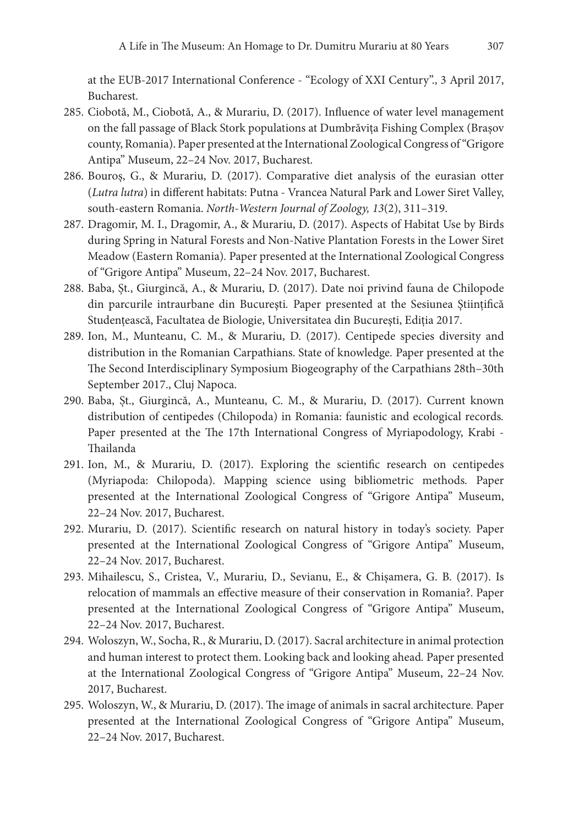at the EUB-2017 International Conference - "Ecology of XXI Century"., 3 April 2017, Bucharest.

- 285. Ciobotă, M., Ciobotă, A., & Murariu, D. (2017). Influence of water level management on the fall passage of Black Stork populations at Dumbrăvița Fishing Complex (Brașov county, Romania). Paper presented at the International Zoological Congress of "Grigore Antipa" Museum, 22–24 Nov. 2017, Bucharest.
- 286. Bouroș, G., & Murariu, D. (2017). Comparative diet analysis of the eurasian otter (*Lutra lutra*) in different habitats: Putna - Vrancea Natural Park and Lower Siret Valley, south‑eastern Romania. *North-Western Journal of Zoology, 13*(2), 311–319.
- 287. Dragomir, M. I., Dragomir, A., & Murariu, D. (2017). Aspects of Habitat Use by Birds during Spring in Natural Forests and Non-Native Plantation Forests in the Lower Siret Meadow (Eastern Romania)*.* Paper presented at the International Zoological Congress of "Grigore Antipa" Museum, 22–24 Nov. 2017, Bucharest.
- 288. Baba, Șt., Giurgincă, A., & Murariu, D. (2017). Date noi privind fauna de Chilopode din parcurile intraurbane din Bucureşti*.* Paper presented at the Sesiunea Ştiințifică Studenţească, Facultatea de Biologie, Universitatea din Bucureşti, Ediţia 2017.
- 289. Ion, M., Munteanu, C. M., & Murariu, D. (2017). Centipede species diversity and distribution in the Romanian Carpathians. State of knowledge*.* Paper presented at the The Second Interdisciplinary Symposium Biogeography of the Carpathians 28th–30th September 2017., Cluj Napoca.
- 290. Baba, Șt., Giurgincă, A., Munteanu, C. M., & Murariu, D. (2017). Current known distribution of centipedes (Chilopoda) in Romania: faunistic and ecological records*.* Paper presented at the The 17th International Congress of Myriapodology, Krabi -Thailanda
- 291. Ion, M., & Murariu, D. (2017). Exploring the scientific research on centipedes (Myriapoda: Chilopoda). Mapping science using bibliometric methods*.* Paper presented at the International Zoological Congress of "Grigore Antipa" Museum, 22–24 Nov. 2017, Bucharest.
- 292. Murariu, D. (2017). Scientific research on natural history in today's society. Paper presented at the International Zoological Congress of "Grigore Antipa" Museum, 22–24 Nov. 2017, Bucharest.
- 293. Mihailescu, S., Cristea, V., Murariu, D., Sevianu, E., & Chișamera, G. B. (2017). Is relocation of mammals an effective measure of their conservation in Romania?. Paper presented at the International Zoological Congress of "Grigore Antipa" Museum, 22–24 Nov. 2017, Bucharest.
- 294. Woloszyn, W., Socha, R., & Murariu, D. (2017). Sacral architecture in animal protection and human interest to protect them. Looking back and looking ahead*.* Paper presented at the International Zoological Congress of "Grigore Antipa" Museum, 22–24 Nov. 2017, Bucharest.
- 295. Woloszyn, W., & Murariu, D. (2017). The image of animals in sacral architecture*.* Paper presented at the International Zoological Congress of "Grigore Antipa" Museum, 22–24 Nov. 2017, Bucharest.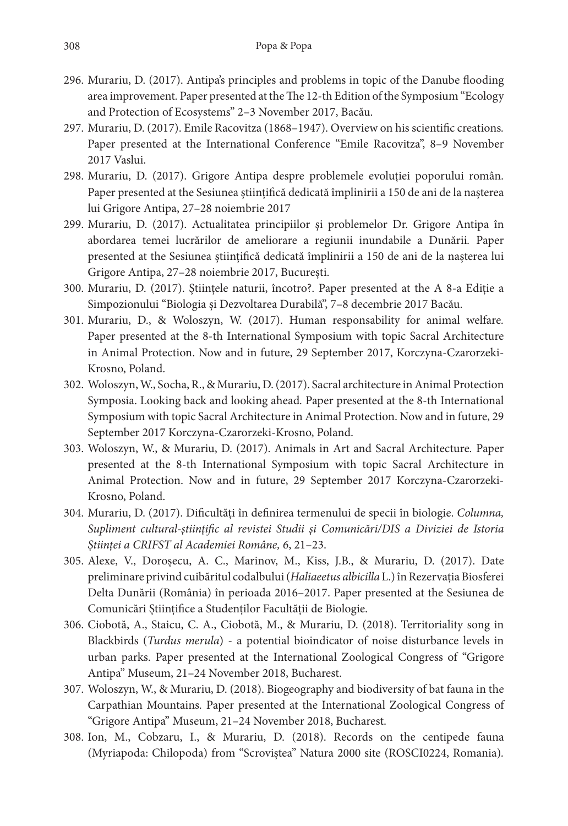- 296. Murariu, D. (2017). Antipa's principles and problems in topic of the Danube flooding area improvement*.* Paper presented at the The 12-th Edition of the Symposium "Ecology and Protection of Ecosystems" 2–3 November 2017, Bacău.
- 297. Murariu, D. (2017). Emile Racovitza (1868–1947). Overview on his scientific creations*.* Paper presented at the International Conference "Emile Racovitza", 8–9 November 2017 Vaslui.
- 298. Murariu, D. (2017). Grigore Antipa despre problemele evoluţiei poporului român*.* Paper presented at the Sesiunea ştiințifică dedicată împlinirii a 150 de ani de la naşterea lui Grigore Antipa, 27–28 noiembrie 2017
- 299. Murariu, D. (2017). Actualitatea principiilor şi problemelor Dr. Grigore Antipa în abordarea temei lucrărilor de ameliorare a regiunii inundabile a Dunării*.* Paper presented at the Sesiunea ştiințifică dedicată împlinirii a 150 de ani de la naşterea lui Grigore Antipa, 27–28 noiembrie 2017, București.
- 300. Murariu, D. (2017). Ştiinţele naturii, încotro?. Paper presented at the A 8-a Ediţie a Simpozionului "Biologia şi Dezvoltarea Durabilă", 7–8 decembrie 2017 Bacău.
- 301. Murariu, D., & Woloszyn, W. (2017). Human responsability for animal welfare*.* Paper presented at the 8-th International Symposium with topic Sacral Architecture in Animal Protection. Now and in future, 29 September 2017, Korczyna-Czarorzeki-Krosno, Poland.
- 302. Woloszyn, W., Socha, R., & Murariu, D. (2017). Sacral architecture in Animal Protection Symposia. Looking back and looking ahead*.* Paper presented at the 8-th International Symposium with topic Sacral Architecture in Animal Protection. Now and in future, 29 September 2017 Korczyna-Czarorzeki-Krosno, Poland.
- 303. Woloszyn, W., & Murariu, D. (2017). Animals in Art and Sacral Architecture*.* Paper presented at the 8-th International Symposium with topic Sacral Architecture in Animal Protection. Now and in future, 29 September 2017 Korczyna-Czarorzeki-Krosno, Poland.
- 304. Murariu, D. (2017). Dificultăți în definirea termenului de specii în biologie. *Columna, Supliment cultural-ştiinţific al revistei Studii şi Comunicări/DIS a Diviziei de Istoria Ştiinței a CRIFST al Academiei Române, 6*, 21–23.
- 305. Alexe, V., Doroșecu, A. C., Marinov, M., Kiss, J.B., & Murariu, D. (2017). Date preliminare privind cuibăritul codalbului (*Haliaeetus albicilla* L.) în Rezervația Biosferei Delta Dunării (România) în perioada 2016–2017. Paper presented at the Sesiunea de Comunicări Științifice a Studenților Facultății de Biologie.
- 306. Ciobotă, A., Staicu, C. A., Ciobotă, M., & Murariu, D. (2018). Territoriality song in Blackbirds (*Turdus merula*) - a potential bioindicator of noise disturbance levels in urban parks. Paper presented at the International Zoological Congress of "Grigore Antipa" Museum, 21–24 November 2018, Bucharest.
- 307. Woloszyn, W., & Murariu, D. (2018). Biogeography and biodiversity of bat fauna in the Carpathian Mountains*.* Paper presented at the International Zoological Congress of "Grigore Antipa" Museum, 21–24 November 2018, Bucharest.
- 308. Ion, M., Cobzaru, I., & Murariu, D. (2018). Records on the centipede fauna (Myriapoda: Chilopoda) from "Scroviştea" Natura 2000 site (ROSCI0224, Romania)*.*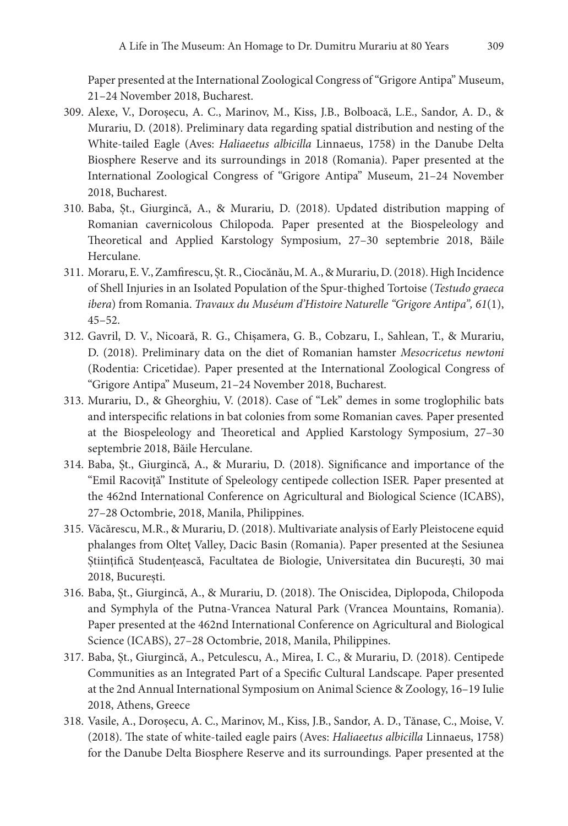Paper presented at the International Zoological Congress of "Grigore Antipa" Museum, 21–24 November 2018, Bucharest.

- 309. Alexe, V., Doroșecu, A. C., Marinov, M., Kiss, J.B., Bolboacă, L.E., Sandor, A. D., & Murariu, D. (2018). Preliminary data regarding spatial distribution and nesting of the White-tailed Eagle (Aves: *Haliaeetus albicilla* Linnaeus, 1758) in the Danube Delta Biosphere Reserve and its surroundings in 2018 (Romania). Paper presented at the International Zoological Congress of "Grigore Antipa" Museum, 21–24 November 2018, Bucharest.
- 310. Baba, Șt., Giurgincă, A., & Murariu, D. (2018). Updated distribution mapping of Romanian cavernicolous Chilopoda*.* Paper presented at the Biospeleology and Theoretical and Applied Karstology Symposium, 27–30 septembrie 2018, Băile Herculane.
- 311. Moraru, E. V., Zamfirescu, Șt. R., Ciocănău, M. A., & Murariu, D. (2018). High Incidence of Shell Injuries in an Isolated Population of the Spur-thighed Tortoise (*Testudo graeca ibera*) from Romania. *Travaux du Muséum d'Histoire Naturelle "Grigore Antipa", 61*(1), 45–52.
- 312. Gavril, D. V., Nicoară, R. G., Chișamera, G. B., Cobzaru, I., Sahlean, T., & Murariu, D. (2018). Preliminary data on the diet of Romanian hamster *Mesocricetus newtoni* (Rodentia: Cricetidae). Paper presented at the International Zoological Congress of "Grigore Antipa" Museum, 21–24 November 2018, Bucharest.
- 313. Murariu, D., & Gheorghiu, V. (2018). Case of "Lek" demes in some troglophilic bats and interspecific relations in bat colonies from some Romanian caves*.* Paper presented at the Biospeleology and Theoretical and Applied Karstology Symposium, 27–30 septembrie 2018, Băile Herculane.
- 314. Baba, Șt., Giurgincă, A., & Murariu, D. (2018). Significance and importance of the "Emil Racoviță" Institute of Speleology centipede collection ISER*.* Paper presented at the 462nd International Conference on Agricultural and Biological Science (ICABS), 27–28 Octombrie, 2018, Manila, Philippines.
- 315. Văcărescu, M.R., & Murariu, D. (2018). Multivariate analysis of Early Pleistocene equid phalanges from Olteț Valley, Dacic Basin (Romania)*.* Paper presented at the Sesiunea Științifică Studențească, Facultatea de Biologie, Universitatea din București, 30 mai 2018, București.
- 316. Baba, Șt., Giurgincă, A., & Murariu, D. (2018). The Oniscidea, Diplopoda, Chilopoda and Symphyla of the Putna-Vrancea Natural Park (Vrancea Mountains, Romania). Paper presented at the 462nd International Conference on Agricultural and Biological Science (ICABS), 27–28 Octombrie, 2018, Manila, Philippines.
- 317. Baba, Șt., Giurgincă, A., Petculescu, A., Mirea, I. C., & Murariu, D. (2018). Centipede Communities as an Integrated Part of a Specific Cultural Landscape*.* Paper presented at the 2nd Annual International Symposium on Animal Science & Zoology, 16–19 Iulie 2018, Athens, Greece
- 318. Vasile, A., Doroșecu, A. C., Marinov, M., Kiss, J.B., Sandor, A. D., Tănase, C., Moise, V. (2018). The state of white-tailed eagle pairs (Aves: *Haliaeetus albicilla* Linnaeus, 1758) for the Danube Delta Biosphere Reserve and its surroundings*.* Paper presented at the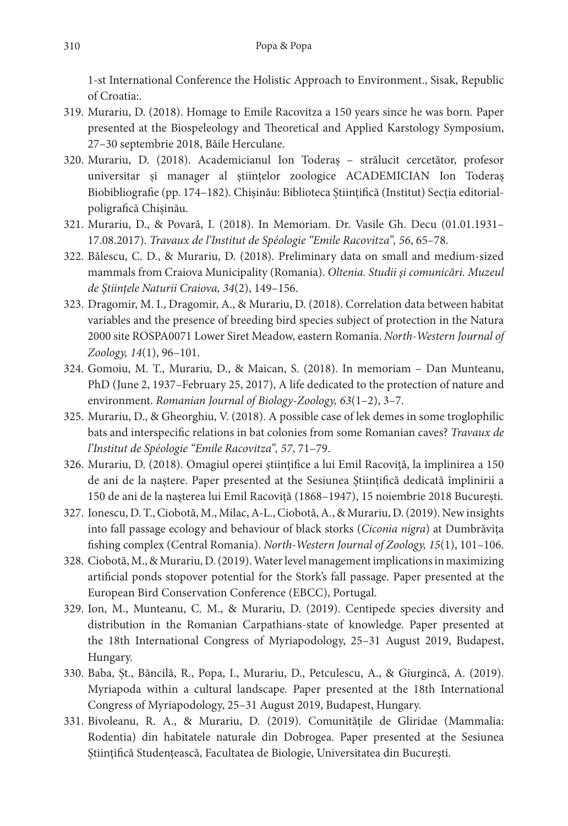1-st International Conference the Holistic Approach to Environment., Sisak, Republic of Croatia:.

- 319. Murariu, D. (2018). Homage to Emile Racovitza a 150 years since he was born*.* Paper presented at the Biospeleology and Theoretical and Applied Karstology Symposium, 27–30 septembrie 2018, Băile Herculane.
- 320. Murariu, D. (2018). Academicianul Ion Toderaș strălucit cercetător, profesor universitar și manager al știinţelor zoologice ACADEMICIAN Ion Toderaș Biobibliografie (pp. 174–182). Chișinău: Biblioteca Științifică (Institut) Secția editorialpoligrafică Chișinău.
- 321. Murariu, D., & Povară, I. (2018). In Memoriam. Dr. Vasile Gh. Decu (01.01.1931– 17.08.2017). *Travaux de l'Institut de Spéologie "Emile Racovitza", 56*, 65–78.
- 322. Bălescu, C. D., & Murariu, D. (2018). Preliminary data on small and medium-sized mammals from Craiova Municipality (Romania). *Oltenia. Studii şi comunicări. Muzeul de Ştiințele Naturii Craiova, 34*(2), 149–156.
- 323. Dragomir, M. I., Dragomir, A., & Murariu, D. (2018). Correlation data between habitat variables and the presence of breeding bird species subject of protection in the Natura 2000 site ROSPA0071 Lower Siret Meadow, eastern Romania. *North-Western Journal of Zoology, 14*(1), 96–101.
- 324. Gomoiu, M. T., Murariu, D., & Maican, S. (2018). In memoriam Dan Munteanu, PhD (June 2, 1937–February 25, 2017), A life dedicated to the protection of nature and environment. *Romanian Journal of Biology-Zoology, 63*(1–2), 3–7.
- 325. Murariu, D., & Gheorghiu, V. (2018). A possible case of lek demes in some troglophilic bats and interspecific relations in bat colonies from some Romanian caves? *Travaux de l'Institut de Spéologie "Emile Racovitza", 57*, 71–79.
- 326. Murariu, D. (2018). Omagiul operei ştiințifice a lui Emil Racoviță, la împlinirea a 150 de ani de la naştere. Paper presented at the Sesiunea Ştiințifică dedicată împlinirii a 150 de ani de la naşterea lui Emil Racoviță (1868–1947), 15 noiembrie 2018 București.
- 327. Ionescu, D. T., Ciobotă, M., Milac, A-L., Ciobotă, A., & Murariu, D. (2019). New insights into fall passage ecology and behaviour of black storks (*Ciconia nigra*) at Dumbrăvița fishing complex (Central Romania). *North-Western Journal of Zoology, 15*(1), 101–106.
- 328. Ciobotă, M., & Murariu, D. (2019). Water level management implications in maximizing artificial ponds stopover potential for the Stork's fall passage. Paper presented at the European Bird Conservation Conference (EBCC), Portugal.
- 329. Ion, M., Munteanu, C. M., & Murariu, D. (2019). Centipede species diversity and distribution in the Romanian Carpathians-state of knowledge. Paper presented at the 18th International Congress of Myriapodology, 25–31 August 2019, Budapest, Hungary.
- 330. Baba, Șt., Băncilă, R., Popa, I., Murariu, D., Petculescu, A., & Giurgincă, A. (2019). Myriapoda within a cultural landscape*.* Paper presented at the 18th International Congress of Myriapodology, 25–31 August 2019, Budapest, Hungary.
- 331. Bivoleanu, R. A., & Murariu, D. (2019). Comunitățile de Gliridae (Mammalia: Rodentia) din habitatele naturale din Dobrogea. Paper presented at the Sesiunea Științifică Studențească, Facultatea de Biologie, Universitatea din Bucureşti.